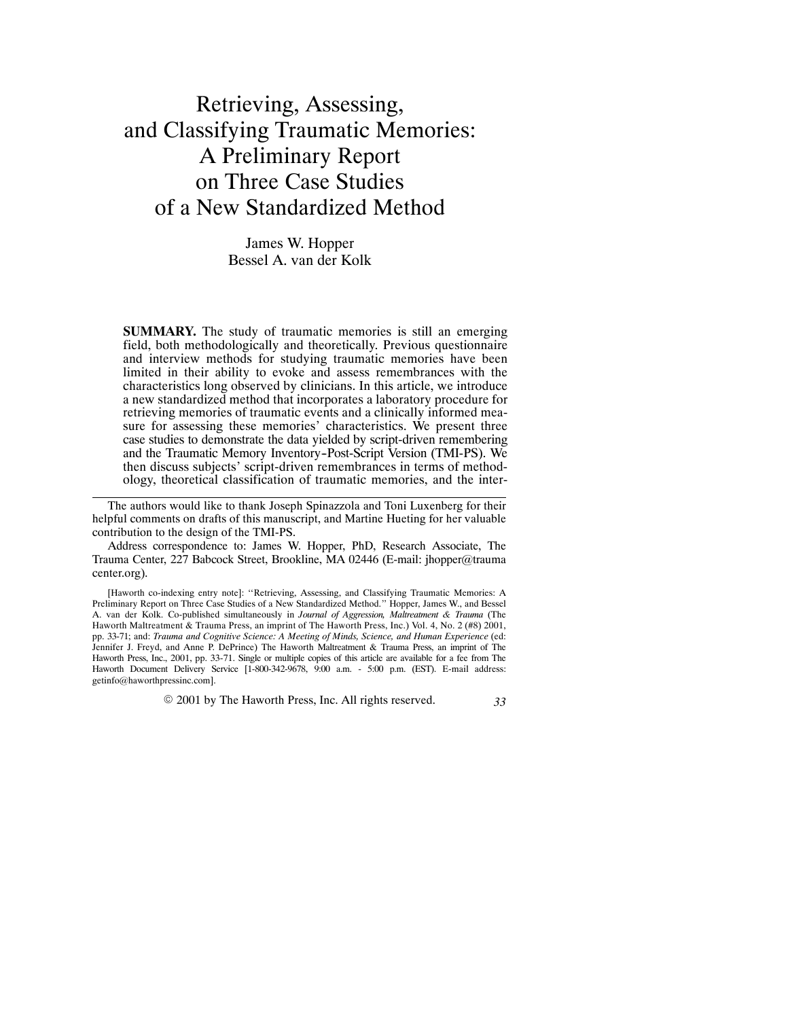# Retrieving, Assessing, and Classifying Traumatic Memories: A Preliminary Report on Three Case Studies of a New Standardized Method

James W. Hopper Bessel A. van der Kolk

**SUMMARY.** The study of traumatic memories is still an emerging field, both methodologically and theoretically. Previous questionnaire and interview methods for studying traumatic memories have been limited in their ability to evoke and assess remembrances with the characteristics long observed by clinicians. In this article, we introduce a new standardized method that incorporates a laboratory procedure for retrieving memories of traumatic events and a clinically informed measure for assessing these memories' characteristics. We present three case studies to demonstrate the data yielded by script-driven remembering and the Traumatic Memory Inventory-Post-Script Version (TMI-PS). We then discuss subjects' script-driven remembrances in terms of methodology, theoretical classification of traumatic memories, and the inter-

The authors would like to thank Joseph Spinazzola and Toni Luxenberg for their helpful comments on drafts of this manuscript, and Martine Hueting for her valuable contribution to the design of the TMI-PS.

Address correspondence to: James W. Hopper, PhD, Research Associate, The Trauma Center, 227 Babcock Street, Brookline, MA 02446 (E-mail: jhopper@trauma center.org).

[Haworth co-indexing entry note]: ''Retrieving, Assessing, and Classifying Traumatic Memories: A Preliminary Report on Three Case Studies of a New Standardized Method.'' Hopper, James W., and Bessel A. van der Kolk. Co-published simultaneously in *Journal of Aggression, Maltreatment & Trauma* (The Haworth Maltreatment & Trauma Press, an imprint of The Haworth Press, Inc.) Vol. 4, No. 2 (#8) 2001, pp. 33-71; and: *Trauma and Cognitive Science: A Meeting of Minds, Science, and Human Experience* (ed: Jennifer J. Freyd, and Anne P. DePrince) The Haworth Maltreatment & Trauma Press, an imprint of The Haworth Press, Inc., 2001, pp. 33-71. Single or multiple copies of this article are available for a fee from The Haworth Document Delivery Service [1-800-342-9678, 9:00 a.m. - 5:00 p.m. (EST). E-mail address: getinfo@haworthpressinc.com].

E 2001 by The Haworth Press, Inc. All rights reserved. *33*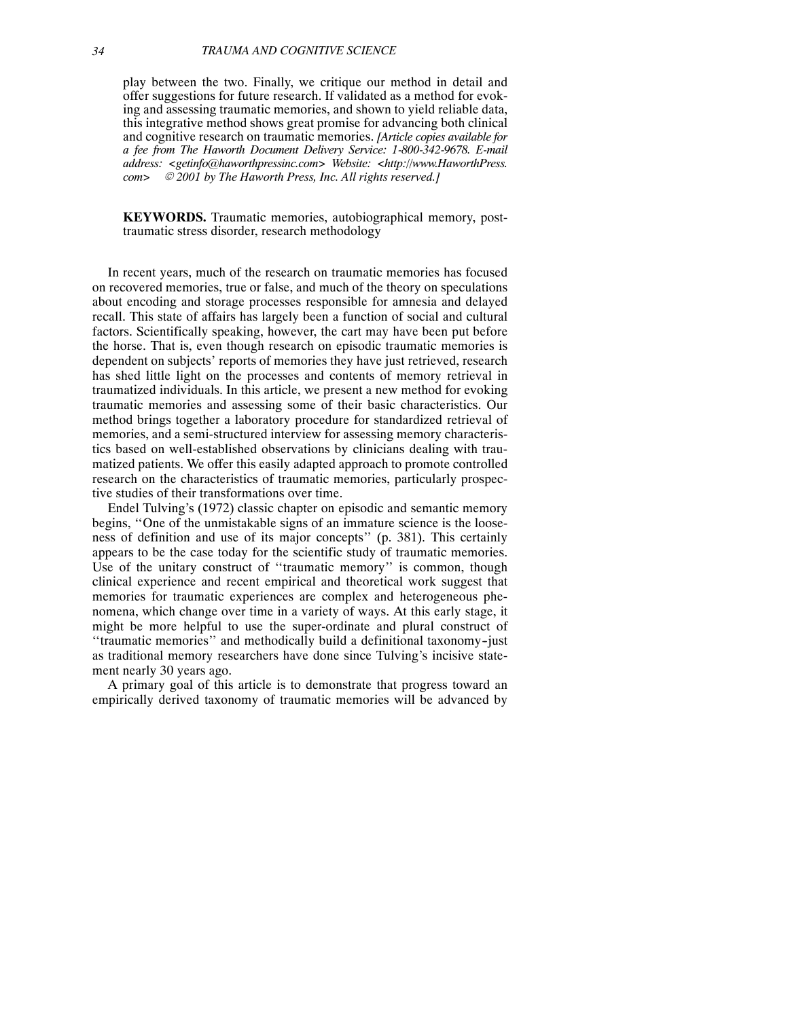play between the two. Finally, we critique our method in detail and offer suggestions for future research. If validated as a method for evoking and assessing traumatic memories, and shown to yield reliable data, this integrative method shows great promise for advancing both clinical and cognitive research on traumatic memories. *[Article copies available for a fee from The Haworth Document Delivery Service: 1-800-342-9678. E-mail address: <getinfo@haworthpressinc.com> Website: <http://www.HaworthPress. com>* © 2001 by The Haworth Press, Inc. All rights reserved.]

**KEYWORDS.** Traumatic memories, autobiographical memory, posttraumatic stress disorder, research methodology

In recent years, much of the research on traumatic memories has focused on recovered memories, true or false, and much of the theory on speculations about encoding and storage processes responsible for amnesia and delayed recall. This state of affairs has largely been a function of social and cultural factors. Scientifically speaking, however, the cart may have been put before the horse. That is, even though research on episodic traumatic memories is dependent on subjects' reports of memories they have just retrieved, research has shed little light on the processes and contents of memory retrieval in traumatized individuals. In this article, we present a new method for evoking traumatic memories and assessing some of their basic characteristics. Our method brings together a laboratory procedure for standardized retrieval of memories, and a semi-structured interview for assessing memory characteristics based on well-established observations by clinicians dealing with traumatized patients. We offer this easily adapted approach to promote controlled research on the characteristics of traumatic memories, particularly prospective studies of their transformations over time.

Endel Tulving's (1972) classic chapter on episodic and semantic memory begins, ''One of the unmistakable signs of an immature science is the looseness of definition and use of its major concepts'' (p. 381). This certainly appears to be the case today for the scientific study of traumatic memories. Use of the unitary construct of ''traumatic memory'' is common, though clinical experience and recent empirical and theoretical work suggest that memories for traumatic experiences are complex and heterogeneous phenomena, which change over time in a variety of ways. At this early stage, it might be more helpful to use the super-ordinate and plural construct of ''traumatic memories'' and methodically build a definitional taxonomy--just as traditional memory researchers have done since Tulving's incisive statement nearly 30 years ago.

A primary goal of this article is to demonstrate that progress toward an empirically derived taxonomy of traumatic memories will be advanced by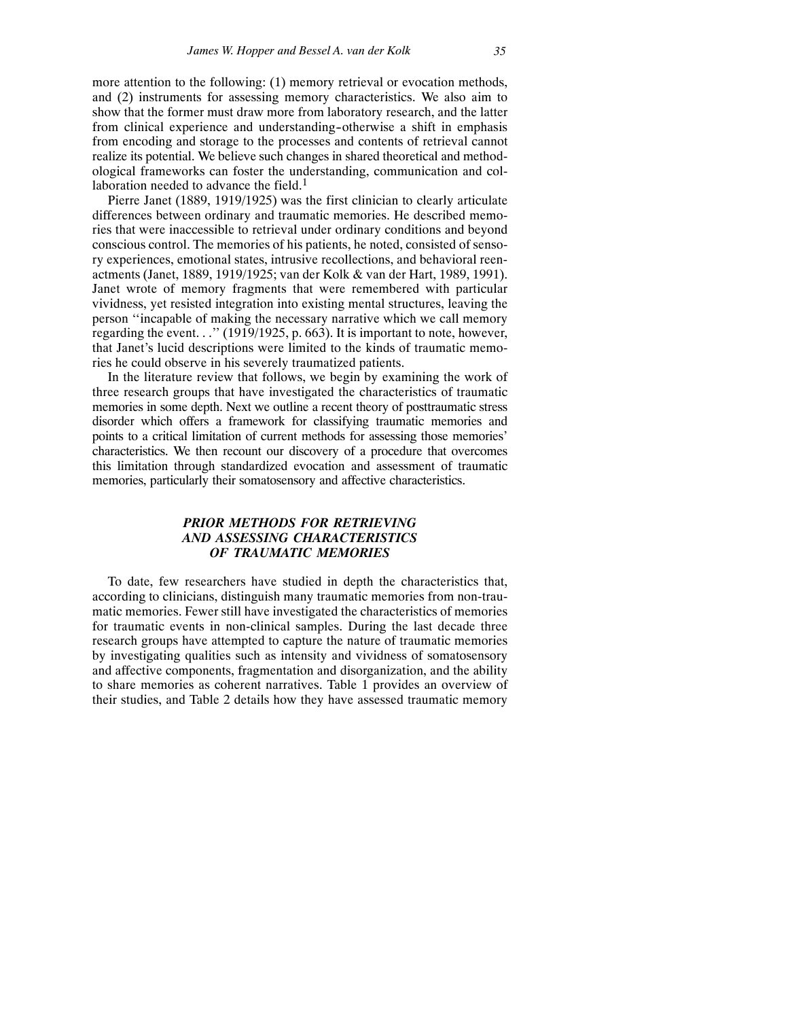more attention to the following: (1) memory retrieval or evocation methods, and (2) instruments for assessing memory characteristics. We also aim to show that the former must draw more from laboratory research, and the latter from clinical experience and understanding-otherwise a shift in emphasis from encoding and storage to the processes and contents of retrieval cannot realize its potential. We believe such changes in shared theoretical and methodological frameworks can foster the understanding, communication and collaboration needed to advance the field. $<sup>1</sup>$ </sup>

Pierre Janet (1889, 1919/1925) was the first clinician to clearly articulate differences between ordinary and traumatic memories. He described memories that were inaccessible to retrieval under ordinary conditions and beyond conscious control. The memories of his patients, he noted, consisted of sensory experiences, emotional states, intrusive recollections, and behavioral reenactments (Janet, 1889, 1919/1925; van der Kolk & van der Hart, 1989, 1991). Janet wrote of memory fragments that were remembered with particular vividness, yet resisted integration into existing mental structures, leaving the person ''incapable of making the necessary narrative which we call memory regarding the event. . ." (1919/1925, p. 663). It is important to note, however, that Janet's lucid descriptions were limited to the kinds of traumatic memories he could observe in his severely traumatized patients.

In the literature review that follows, we begin by examining the work of three research groups that have investigated the characteristics of traumatic memories in some depth. Next we outline a recent theory of posttraumatic stress disorder which offers a framework for classifying traumatic memories and points to a critical limitation of current methods for assessing those memories' characteristics. We then recount our discovery of a procedure that overcomes this limitation through standardized evocation and assessment of traumatic memories, particularly their somatosensory and affective characteristics.

## *PRIOR METHODS FOR RETRIEVING AND ASSESSING CHARACTERISTICS OF TRAUMATIC MEMORIES*

To date, few researchers have studied in depth the characteristics that, according to clinicians, distinguish many traumatic memories from non-traumatic memories. Fewer still have investigated the characteristics of memories for traumatic events in non-clinical samples. During the last decade three research groups have attempted to capture the nature of traumatic memories by investigating qualities such as intensity and vividness of somatosensory and affective components, fragmentation and disorganization, and the ability to share memories as coherent narratives. Table 1 provides an overview of their studies, and Table 2 details how they have assessed traumatic memory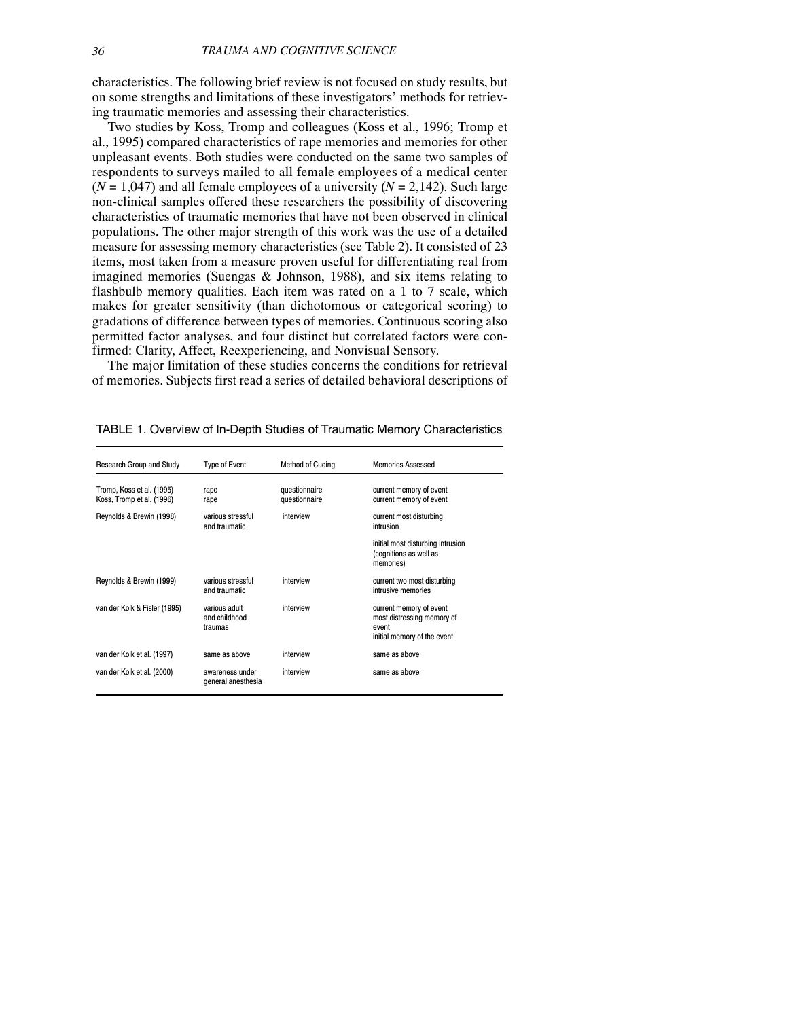characteristics. The following brief review is not focused on study results, but on some strengths and limitations of these investigators' methods for retrieving traumatic memories and assessing their characteristics.

Two studies by Koss, Tromp and colleagues (Koss et al., 1996; Tromp et al., 1995) compared characteristics of rape memories and memories for other unpleasant events. Both studies were conducted on the same two samples of respondents to surveys mailed to all female employees of a medical center  $(N = 1,047)$  and all female employees of a university  $(N = 2,142)$ . Such large non-clinical samples offered these researchers the possibility of discovering characteristics of traumatic memories that have not been observed in clinical populations. The other major strength of this work was the use of a detailed measure for assessing memory characteristics (see Table 2). It consisted of 23 items, most taken from a measure proven useful for differentiating real from imagined memories (Suengas & Johnson, 1988), and six items relating to flashbulb memory qualities. Each item was rated on a 1 to 7 scale, which makes for greater sensitivity (than dichotomous or categorical scoring) to gradations of difference between types of memories. Continuous scoring also permitted factor analyses, and four distinct but correlated factors were confirmed: Clarity, Affect, Reexperiencing, and Nonvisual Sensory.

The major limitation of these studies concerns the conditions for retrieval of memories. Subjects first read a series of detailed behavioral descriptions of

| <b>Research Group and Study</b>                        | <b>Type of Event</b>                      | <b>Method of Cueing</b>        | <b>Memories Assessed</b>                                                                      |
|--------------------------------------------------------|-------------------------------------------|--------------------------------|-----------------------------------------------------------------------------------------------|
| Tromp, Koss et al. (1995)<br>Koss, Tromp et al. (1996) | rape<br>rape                              | questionnaire<br>questionnaire | current memory of event<br>current memory of event                                            |
| Reynolds & Brewin (1998)                               | various stressful<br>and traumatic        | interview                      | current most disturbing<br>intrusion                                                          |
|                                                        |                                           |                                | initial most disturbing intrusion<br>(cognitions as well as<br>memories)                      |
| Reynolds & Brewin (1999)                               | various stressful<br>and traumatic        | interview                      | current two most disturbing<br>intrusive memories                                             |
| van der Kolk & Fisler (1995)                           | various adult<br>and childhood<br>traumas | interview                      | current memory of event<br>most distressing memory of<br>event<br>initial memory of the event |
| van der Kolk et al. (1997)                             | same as above                             | interview                      | same as above                                                                                 |
| van der Kolk et al. (2000)                             | awareness under<br>general anesthesia     | interview                      | same as above                                                                                 |

TABLE 1. Overview of In-Depth Studies of Traumatic Memory Characteristics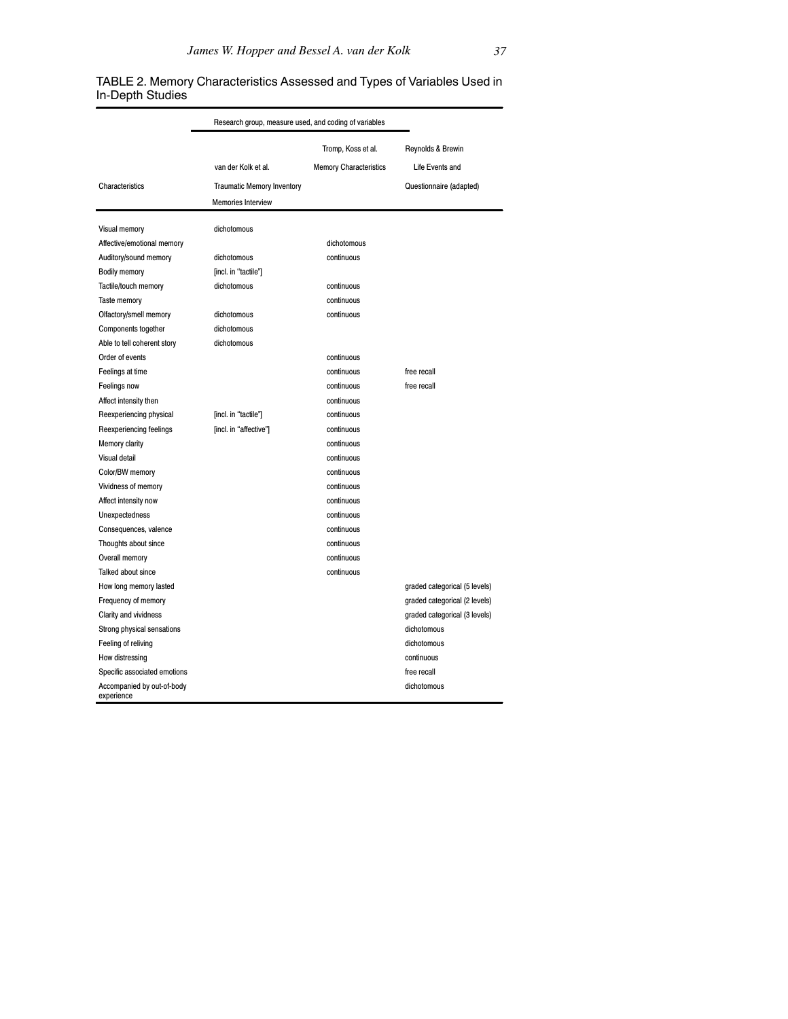| TABLE 2. Memory Characteristics Assessed and Types of Variables Used in |  |
|-------------------------------------------------------------------------|--|
| In-Depth Studies                                                        |  |

|                              | Research group, measure used, and coding of variables |                               |                               |
|------------------------------|-------------------------------------------------------|-------------------------------|-------------------------------|
|                              |                                                       | Tromp, Koss et al.            | Reynolds & Brewin             |
|                              | van der Kolk et al.                                   | <b>Memory Characteristics</b> | Life Events and               |
| Characteristics              | <b>Traumatic Memory Inventory</b>                     |                               | Questionnaire (adapted)       |
|                              | <b>Memories Interview</b>                             |                               |                               |
|                              |                                                       |                               |                               |
| <b>Visual memory</b>         | dichotomous                                           |                               |                               |
| Affective/emotional memory   |                                                       | dichotomous                   |                               |
| Auditory/sound memory        | dichotomous                                           | continuous                    |                               |
| <b>Bodily memory</b>         | [incl. in "tactile"]                                  |                               |                               |
| Tactile/touch memory         | dichotomous                                           | continuous                    |                               |
| <b>Taste memory</b>          |                                                       | continuous                    |                               |
| Olfactory/smell memory       | dichotomous                                           | continuous                    |                               |
| Components together          | dichotomous                                           |                               |                               |
| Able to tell coherent story  | dichotomous                                           |                               |                               |
| Order of events              |                                                       | continuous                    |                               |
| Feelings at time             |                                                       | continuous                    | free recall                   |
| Feelings now                 |                                                       | continuous                    | free recall                   |
| Affect intensity then        |                                                       | continuous                    |                               |
| Reexperiencing physical      | [incl. in "tactile"]                                  | continuous                    |                               |
| Reexperiencing feelings      | [incl. in "affective"]                                | continuous                    |                               |
| <b>Memory clarity</b>        |                                                       | continuous                    |                               |
| <b>Visual detail</b>         |                                                       | continuous                    |                               |
| Color/BW memory              |                                                       | continuous                    |                               |
| Vividness of memory          |                                                       | continuous                    |                               |
| Affect intensity now         |                                                       | continuous                    |                               |
| Unexpectedness               |                                                       | continuous                    |                               |
| Consequences, valence        |                                                       | continuous                    |                               |
| Thoughts about since         |                                                       | continuous                    |                               |
| Overall memory               |                                                       | continuous                    |                               |
| Talked about since           |                                                       | continuous                    |                               |
| How long memory lasted       |                                                       |                               | graded categorical (5 levels) |
| Frequency of memory          |                                                       |                               | graded categorical (2 levels) |
| <b>Clarity and vividness</b> |                                                       |                               | graded categorical (3 levels) |
| Strong physical sensations   |                                                       |                               | dichotomous                   |
| Feeling of reliving          |                                                       |                               | dichotomous                   |
| How distressing              |                                                       |                               | continuous                    |
| Specific associated emotions |                                                       |                               | free recall                   |
| Accompanied by out-of-body   |                                                       |                               | dichotomous                   |
| experience                   |                                                       |                               |                               |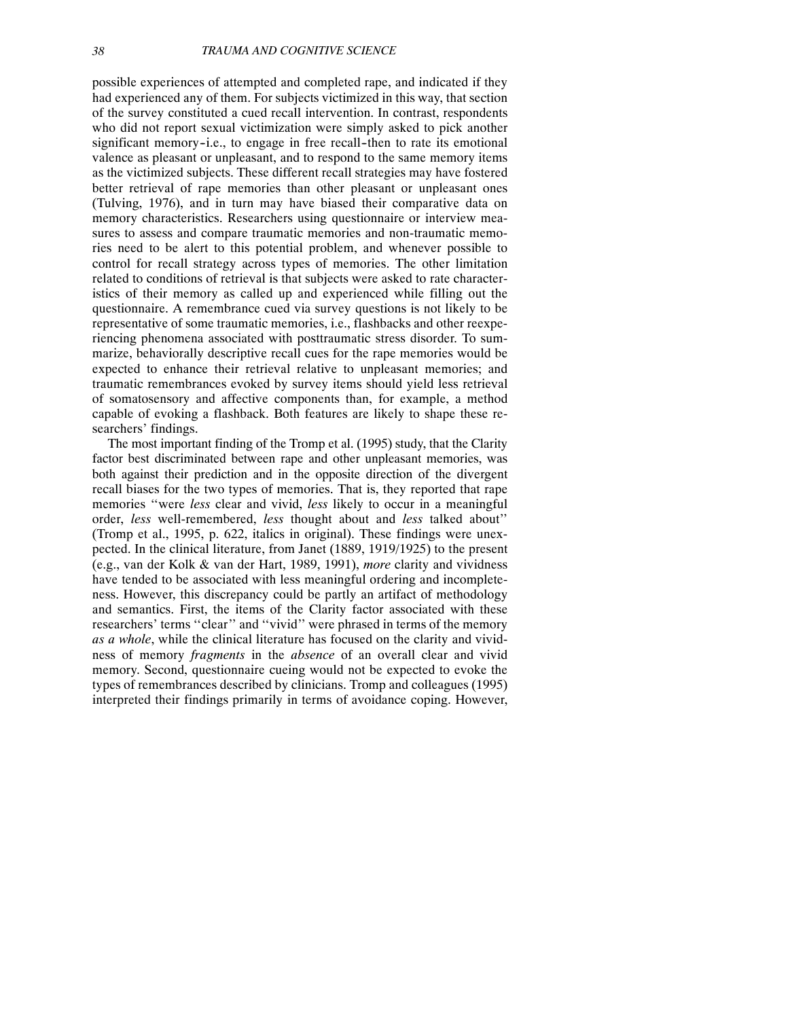possible experiences of attempted and completed rape, and indicated if they had experienced any of them. For subjects victimized in this way, that section of the survey constituted a cued recall intervention. In contrast, respondents who did not report sexual victimization were simply asked to pick another significant memory-i.e., to engage in free recall-then to rate its emotional valence as pleasant or unpleasant, and to respond to the same memory items as the victimized subjects. These different recall strategies may have fostered better retrieval of rape memories than other pleasant or unpleasant ones (Tulving, 1976), and in turn may have biased their comparative data on memory characteristics. Researchers using questionnaire or interview measures to assess and compare traumatic memories and non-traumatic memories need to be alert to this potential problem, and whenever possible to control for recall strategy across types of memories. The other limitation related to conditions of retrieval is that subjects were asked to rate characteristics of their memory as called up and experienced while filling out the questionnaire. A remembrance cued via survey questions is not likely to be representative of some traumatic memories, i.e., flashbacks and other reexperiencing phenomena associated with posttraumatic stress disorder. To summarize, behaviorally descriptive recall cues for the rape memories would be expected to enhance their retrieval relative to unpleasant memories; and traumatic remembrances evoked by survey items should yield less retrieval of somatosensory and affective components than, for example, a method capable of evoking a flashback. Both features are likely to shape these researchers' findings.

The most important finding of the Tromp et al. (1995) study, that the Clarity factor best discriminated between rape and other unpleasant memories, was both against their prediction and in the opposite direction of the divergent recall biases for the two types of memories. That is, they reported that rape memories ''were *less* clear and vivid, *less* likely to occur in a meaningful order, *less* well-remembered, *less* thought about and *less* talked about'' (Tromp et al., 1995, p. 622, italics in original). These findings were unexpected. In the clinical literature, from Janet (1889, 1919/1925) to the present (e.g., van der Kolk & van der Hart, 1989, 1991), *more* clarity and vividness have tended to be associated with less meaningful ordering and incompleteness. However, this discrepancy could be partly an artifact of methodology and semantics. First, the items of the Clarity factor associated with these researchers' terms "clear" and "vivid" were phrased in terms of the memory *as a whole*, while the clinical literature has focused on the clarity and vividness of memory *fragments* in the *absence* of an overall clear and vivid memory. Second, questionnaire cueing would not be expected to evoke the types of remembrances described by clinicians. Tromp and colleagues (1995) interpreted their findings primarily in terms of avoidance coping. However,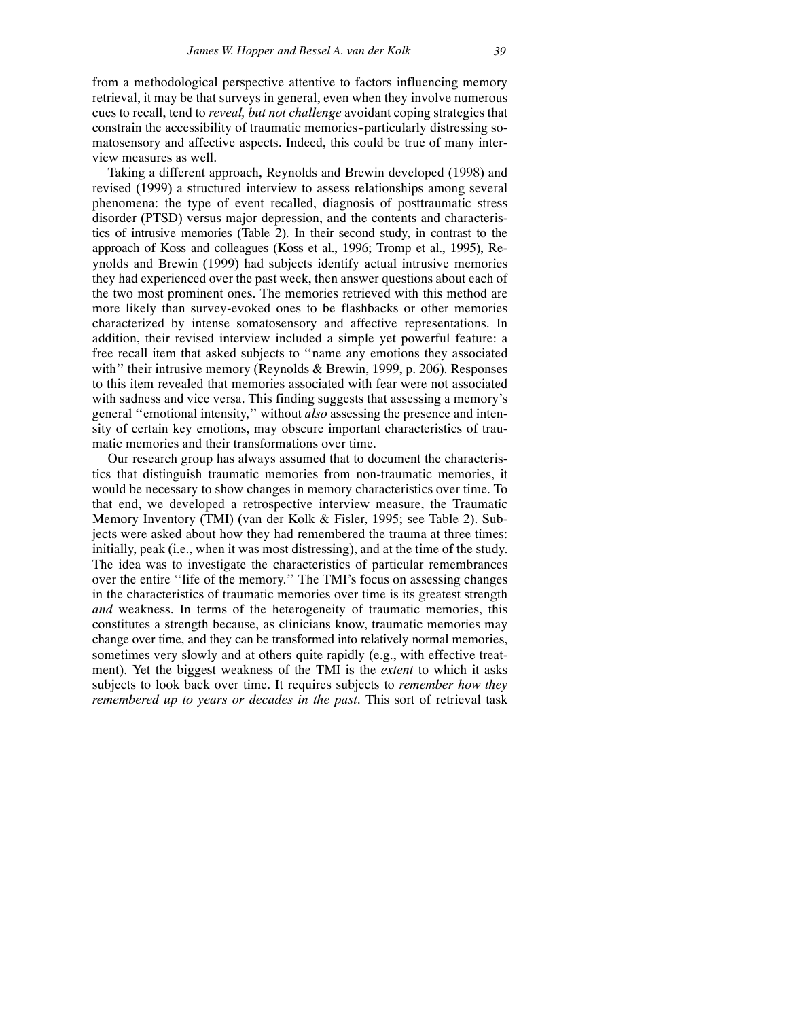from a methodological perspective attentive to factors influencing memory retrieval, it may be that surveys in general, even when they involve numerous cues to recall, tend to *reveal, but not challenge* avoidant coping strategies that constrain the accessibility of traumatic memories--particularly distressing somatosensory and affective aspects. Indeed, this could be true of many interview measures as well.

Taking a different approach, Reynolds and Brewin developed (1998) and revised (1999) a structured interview to assess relationships among several phenomena: the type of event recalled, diagnosis of posttraumatic stress disorder (PTSD) versus major depression, and the contents and characteristics of intrusive memories (Table 2). In their second study, in contrast to the approach of Koss and colleagues (Koss et al., 1996; Tromp et al., 1995), Reynolds and Brewin (1999) had subjects identify actual intrusive memories they had experienced over the past week, then answer questions about each of the two most prominent ones. The memories retrieved with this method are more likely than survey-evoked ones to be flashbacks or other memories characterized by intense somatosensory and affective representations. In addition, their revised interview included a simple yet powerful feature: a free recall item that asked subjects to ''name any emotions they associated with" their intrusive memory (Reynolds & Brewin, 1999, p. 206). Responses to this item revealed that memories associated with fear were not associated with sadness and vice versa. This finding suggests that assessing a memory's general ''emotional intensity,'' without *also* assessing the presence and intensity of certain key emotions, may obscure important characteristics of traumatic memories and their transformations over time.

Our research group has always assumed that to document the characteristics that distinguish traumatic memories from non-traumatic memories, it would be necessary to show changes in memory characteristics over time. To that end, we developed a retrospective interview measure, the Traumatic Memory Inventory (TMI) (van der Kolk & Fisler, 1995; see Table 2). Subjects were asked about how they had remembered the trauma at three times: initially, peak (i.e., when it was most distressing), and at the time of the study. The idea was to investigate the characteristics of particular remembrances over the entire ''life of the memory.'' The TMI's focus on assessing changes in the characteristics of traumatic memories over time is its greatest strength *and* weakness. In terms of the heterogeneity of traumatic memories, this constitutes a strength because, as clinicians know, traumatic memories may change over time, and they can be transformed into relatively normal memories, sometimes very slowly and at others quite rapidly (e.g., with effective treatment). Yet the biggest weakness of the TMI is the *extent* to which it asks subjects to look back over time. It requires subjects to *remember how they remembered up to years or decades in the past*. This sort of retrieval task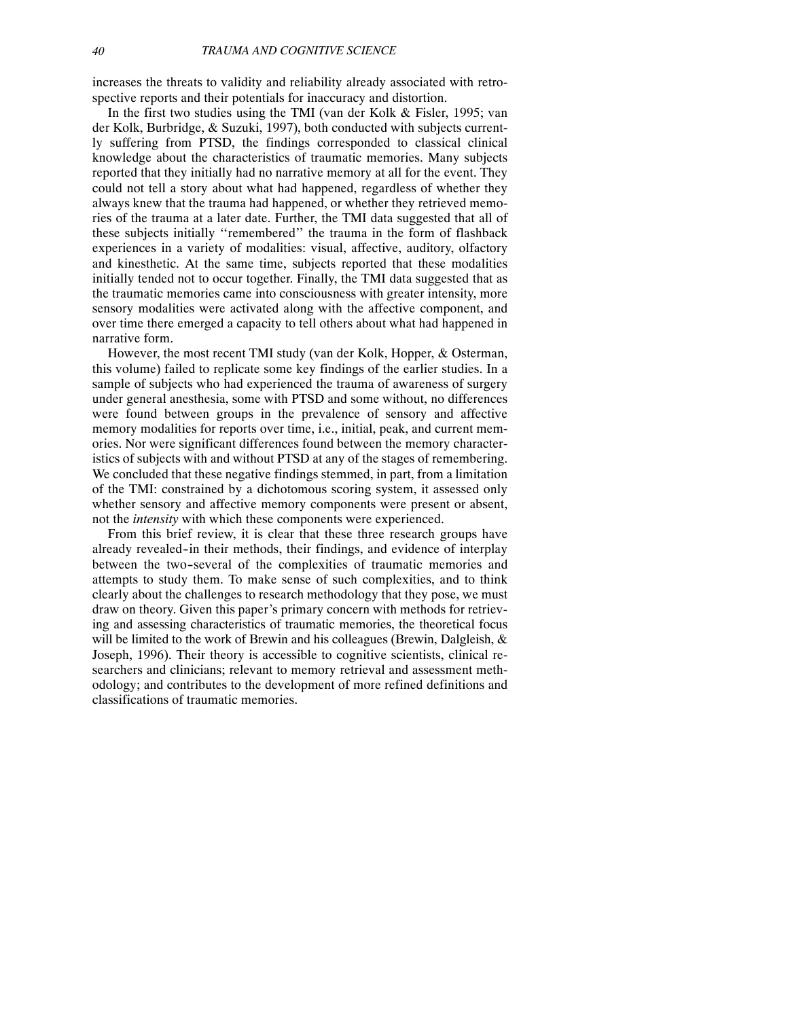increases the threats to validity and reliability already associated with retrospective reports and their potentials for inaccuracy and distortion.

In the first two studies using the TMI (van der Kolk & Fisler, 1995; van der Kolk, Burbridge, & Suzuki, 1997), both conducted with subjects currently suffering from PTSD, the findings corresponded to classical clinical knowledge about the characteristics of traumatic memories. Many subjects reported that they initially had no narrative memory at all for the event. They could not tell a story about what had happened, regardless of whether they always knew that the trauma had happened, or whether they retrieved memories of the trauma at a later date. Further, the TMI data suggested that all of these subjects initially ''remembered'' the trauma in the form of flashback experiences in a variety of modalities: visual, affective, auditory, olfactory and kinesthetic. At the same time, subjects reported that these modalities initially tended not to occur together. Finally, the TMI data suggested that as the traumatic memories came into consciousness with greater intensity, more sensory modalities were activated along with the affective component, and over time there emerged a capacity to tell others about what had happened in narrative form.

However, the most recent TMI study (van der Kolk, Hopper, & Osterman, this volume) failed to replicate some key findings of the earlier studies. In a sample of subjects who had experienced the trauma of awareness of surgery under general anesthesia, some with PTSD and some without, no differences were found between groups in the prevalence of sensory and affective memory modalities for reports over time, i.e., initial, peak, and current memories. Nor were significant differences found between the memory characteristics of subjects with and without PTSD at any of the stages of remembering. We concluded that these negative findings stemmed, in part, from a limitation of the TMI: constrained by a dichotomous scoring system, it assessed only whether sensory and affective memory components were present or absent, not the *intensity* with which these components were experienced.

From this brief review, it is clear that these three research groups have already revealed-in their methods, their findings, and evidence of interplay between the two-several of the complexities of traumatic memories and attempts to study them. To make sense of such complexities, and to think clearly about the challenges to research methodology that they pose, we must draw on theory. Given this paper's primary concern with methods for retrieving and assessing characteristics of traumatic memories, the theoretical focus will be limited to the work of Brewin and his colleagues (Brewin, Dalgleish, & Joseph, 1996). Their theory is accessible to cognitive scientists, clinical researchers and clinicians; relevant to memory retrieval and assessment methodology; and contributes to the development of more refined definitions and classifications of traumatic memories.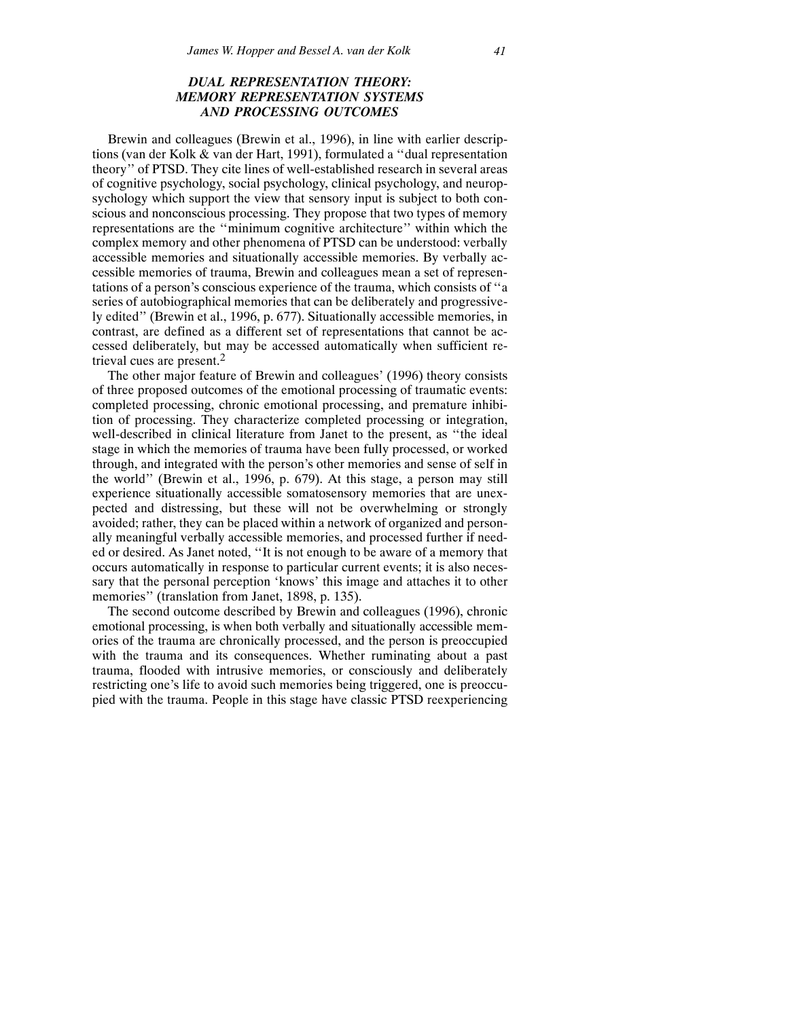## *DUAL REPRESENTATION THEORY: MEMORY REPRESENTATION SYSTEMS AND PROCESSING OUTCOMES*

Brewin and colleagues (Brewin et al., 1996), in line with earlier descriptions (van der Kolk & van der Hart, 1991), formulated a ''dual representation theory'' of PTSD. They cite lines of well-established research in several areas of cognitive psychology, social psychology, clinical psychology, and neuropsychology which support the view that sensory input is subject to both conscious and nonconscious processing. They propose that two types of memory representations are the ''minimum cognitive architecture'' within which the complex memory and other phenomena of PTSD can be understood: verbally accessible memories and situationally accessible memories. By verbally accessible memories of trauma, Brewin and colleagues mean a set of representations of a person's conscious experience of the trauma, which consists of ''a series of autobiographical memories that can be deliberately and progressively edited'' (Brewin et al., 1996, p. 677). Situationally accessible memories, in contrast, are defined as a different set of representations that cannot be accessed deliberately, but may be accessed automatically when sufficient retrieval cues are present.<sup>2</sup>

The other major feature of Brewin and colleagues' (1996) theory consists of three proposed outcomes of the emotional processing of traumatic events: completed processing, chronic emotional processing, and premature inhibition of processing. They characterize completed processing or integration, well-described in clinical literature from Janet to the present, as ''the ideal stage in which the memories of trauma have been fully processed, or worked through, and integrated with the person's other memories and sense of self in the world'' (Brewin et al., 1996, p. 679). At this stage, a person may still experience situationally accessible somatosensory memories that are unexpected and distressing, but these will not be overwhelming or strongly avoided; rather, they can be placed within a network of organized and personally meaningful verbally accessible memories, and processed further if needed or desired. As Janet noted, ''It is not enough to be aware of a memory that occurs automatically in response to particular current events; it is also necessary that the personal perception 'knows' this image and attaches it to other memories" (translation from Janet, 1898, p. 135).

The second outcome described by Brewin and colleagues (1996), chronic emotional processing, is when both verbally and situationally accessible memories of the trauma are chronically processed, and the person is preoccupied with the trauma and its consequences. Whether ruminating about a past trauma, flooded with intrusive memories, or consciously and deliberately restricting one's life to avoid such memories being triggered, one is preoccupied with the trauma. People in this stage have classic PTSD reexperiencing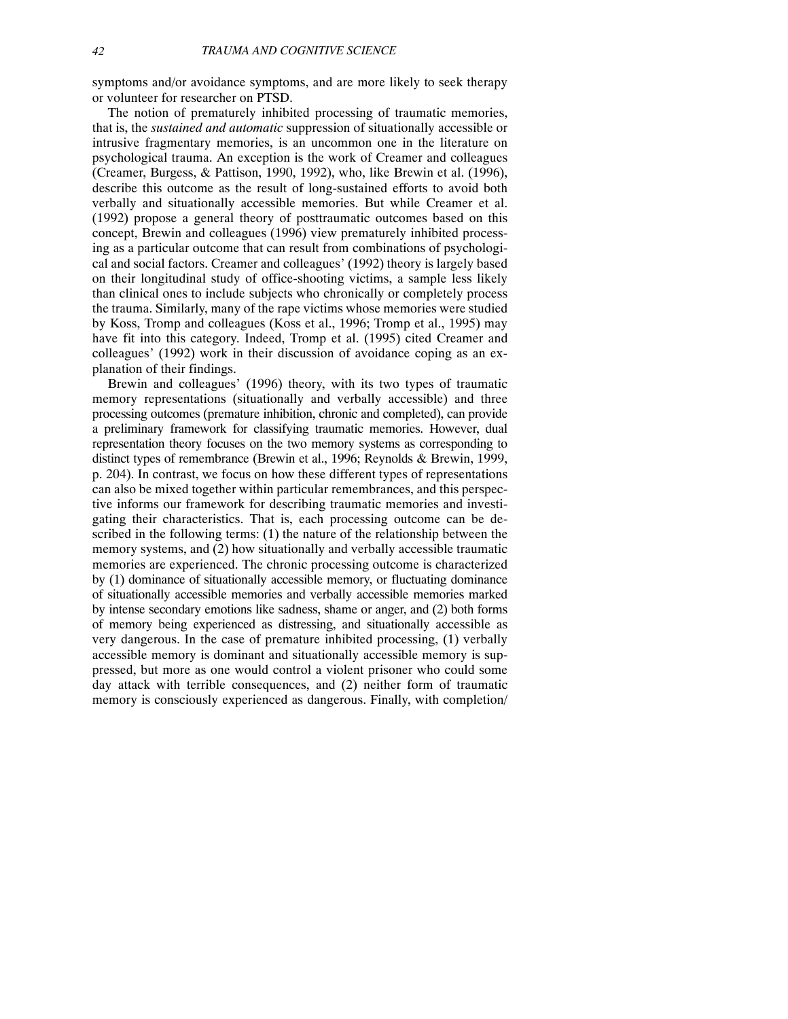symptoms and/or avoidance symptoms, and are more likely to seek therapy or volunteer for researcher on PTSD.

The notion of prematurely inhibited processing of traumatic memories, that is, the *sustained and automatic* suppression of situationally accessible or intrusive fragmentary memories, is an uncommon one in the literature on psychological trauma. An exception is the work of Creamer and colleagues (Creamer, Burgess, & Pattison, 1990, 1992), who, like Brewin et al. (1996), describe this outcome as the result of long-sustained efforts to avoid both verbally and situationally accessible memories. But while Creamer et al. (1992) propose a general theory of posttraumatic outcomes based on this concept, Brewin and colleagues (1996) view prematurely inhibited processing as a particular outcome that can result from combinations of psychological and social factors. Creamer and colleagues' (1992) theory is largely based on their longitudinal study of office-shooting victims, a sample less likely than clinical ones to include subjects who chronically or completely process the trauma. Similarly, many of the rape victims whose memories were studied by Koss, Tromp and colleagues (Koss et al., 1996; Tromp et al., 1995) may have fit into this category. Indeed, Tromp et al. (1995) cited Creamer and colleagues' (1992) work in their discussion of avoidance coping as an explanation of their findings.

Brewin and colleagues' (1996) theory, with its two types of traumatic memory representations (situationally and verbally accessible) and three processing outcomes (premature inhibition, chronic and completed), can provide a preliminary framework for classifying traumatic memories. However, dual representation theory focuses on the two memory systems as corresponding to distinct types of remembrance (Brewin et al., 1996; Reynolds & Brewin, 1999, p. 204). In contrast, we focus on how these different types of representations can also be mixed together within particular remembrances, and this perspective informs our framework for describing traumatic memories and investigating their characteristics. That is, each processing outcome can be described in the following terms: (1) the nature of the relationship between the memory systems, and (2) how situationally and verbally accessible traumatic memories are experienced. The chronic processing outcome is characterized by (1) dominance of situationally accessible memory, or fluctuating dominance of situationally accessible memories and verbally accessible memories marked by intense secondary emotions like sadness, shame or anger, and (2) both forms of memory being experienced as distressing, and situationally accessible as very dangerous. In the case of premature inhibited processing, (1) verbally accessible memory is dominant and situationally accessible memory is suppressed, but more as one would control a violent prisoner who could some day attack with terrible consequences, and (2) neither form of traumatic memory is consciously experienced as dangerous. Finally, with completion/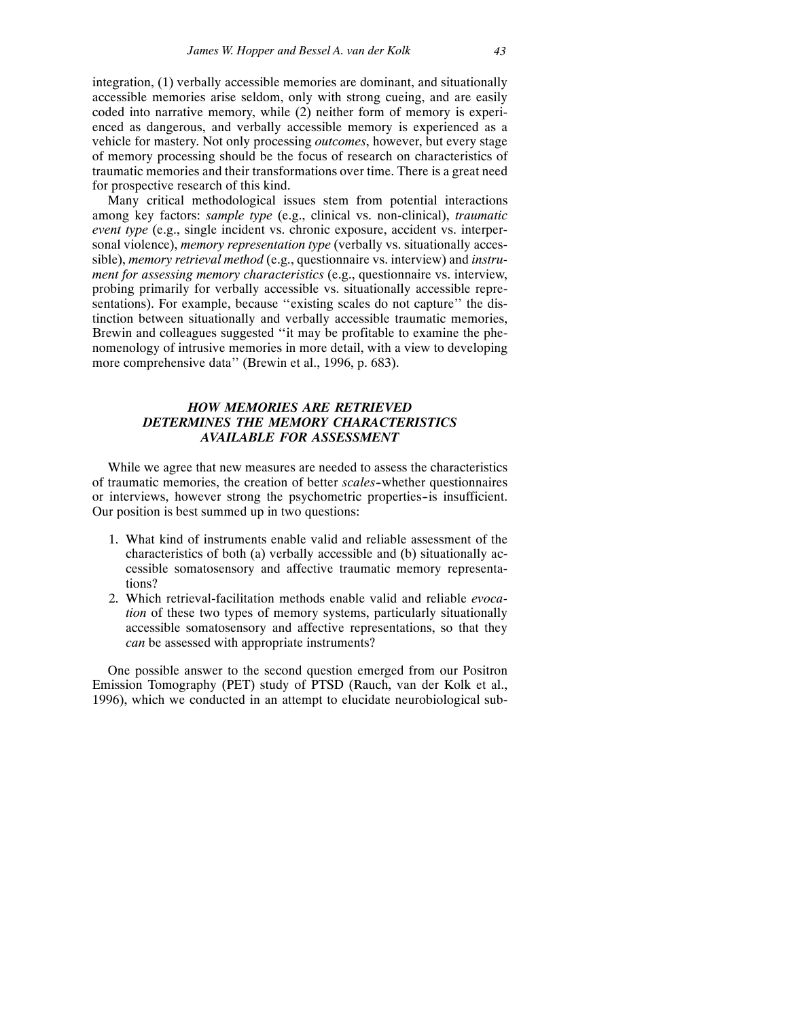integration, (1) verbally accessible memories are dominant, and situationally accessible memories arise seldom, only with strong cueing, and are easily coded into narrative memory, while (2) neither form of memory is experienced as dangerous, and verbally accessible memory is experienced as a vehicle for mastery. Not only processing *outcomes*, however, but every stage of memory processing should be the focus of research on characteristics of traumatic memories and their transformations over time. There is a great need for prospective research of this kind.

Many critical methodological issues stem from potential interactions among key factors: *sample type* (e.g., clinical vs. non-clinical), *traumatic event type* (e.g., single incident vs. chronic exposure, accident vs. interpersonal violence), *memory representation type* (verbally vs. situationally accessible), *memory retrieval method* (e.g., questionnaire vs. interview) and *instrument for assessing memory characteristics* (e.g., questionnaire vs. interview, probing primarily for verbally accessible vs. situationally accessible representations). For example, because "existing scales do not capture" the distinction between situationally and verbally accessible traumatic memories, Brewin and colleagues suggested ''it may be profitable to examine the phenomenology of intrusive memories in more detail, with a view to developing more comprehensive data'' (Brewin et al., 1996, p. 683).

## *HOW MEMORIES ARE RETRIEVED DETERMINES THE MEMORY CHARACTERISTICS AVAILABLE FOR ASSESSMENT*

While we agree that new measures are needed to assess the characteristics of traumatic memories, the creation of better *scales*--whether questionnaires or interviews, however strong the psychometric properties--is insufficient. Our position is best summed up in two questions:

- 1. What kind of instruments enable valid and reliable assessment of the characteristics of both (a) verbally accessible and (b) situationally accessible somatosensory and affective traumatic memory representations?
- 2. Which retrieval-facilitation methods enable valid and reliable *evocation* of these two types of memory systems, particularly situationally accessible somatosensory and affective representations, so that they *can* be assessed with appropriate instruments?

One possible answer to the second question emerged from our Positron Emission Tomography (PET) study of PTSD (Rauch, van der Kolk et al., 1996), which we conducted in an attempt to elucidate neurobiological sub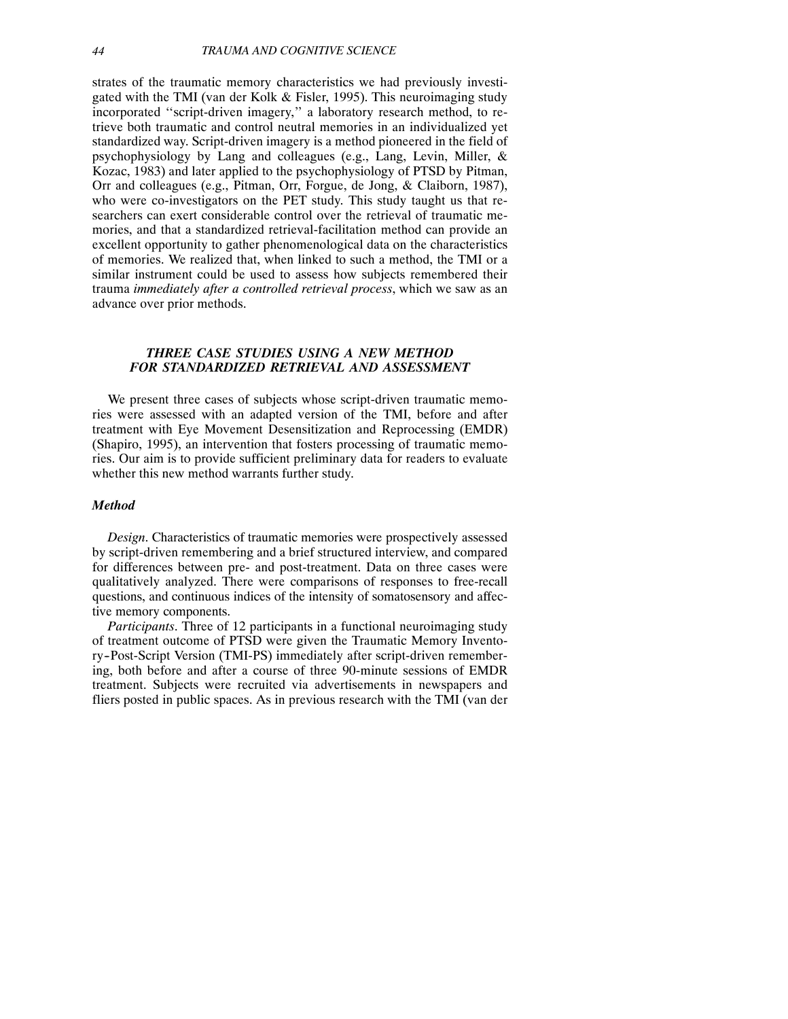strates of the traumatic memory characteristics we had previously investigated with the TMI (van der Kolk & Fisler, 1995). This neuroimaging study incorporated ''script-driven imagery,'' a laboratory research method, to retrieve both traumatic and control neutral memories in an individualized yet standardized way. Script-driven imagery is a method pioneered in the field of psychophysiology by Lang and colleagues (e.g., Lang, Levin, Miller, & Kozac, 1983) and later applied to the psychophysiology of PTSD by Pitman, Orr and colleagues (e.g., Pitman, Orr, Forgue, de Jong, & Claiborn, 1987), who were co-investigators on the PET study. This study taught us that researchers can exert considerable control over the retrieval of traumatic memories, and that a standardized retrieval-facilitation method can provide an excellent opportunity to gather phenomenological data on the characteristics of memories. We realized that, when linked to such a method, the TMI or a similar instrument could be used to assess how subjects remembered their trauma *immediately after a controlled retrieval process*, which we saw as an advance over prior methods.

## *THREE CASE STUDIES USING A NEW METHOD FOR STANDARDIZED RETRIEVAL AND ASSESSMENT*

We present three cases of subjects whose script-driven traumatic memories were assessed with an adapted version of the TMI, before and after treatment with Eye Movement Desensitization and Reprocessing (EMDR) (Shapiro, 1995), an intervention that fosters processing of traumatic memories. Our aim is to provide sufficient preliminary data for readers to evaluate whether this new method warrants further study.

## *Method*

*Design*. Characteristics of traumatic memories were prospectively assessed by script-driven remembering and a brief structured interview, and compared for differences between pre- and post-treatment. Data on three cases were qualitatively analyzed. There were comparisons of responses to free-recall questions, and continuous indices of the intensity of somatosensory and affective memory components.

*Participants*. Three of 12 participants in a functional neuroimaging study of treatment outcome of PTSD were given the Traumatic Memory Inventory--Post-Script Version (TMI-PS) immediately after script-driven remembering, both before and after a course of three 90-minute sessions of EMDR treatment. Subjects were recruited via advertisements in newspapers and fliers posted in public spaces. As in previous research with the TMI (van der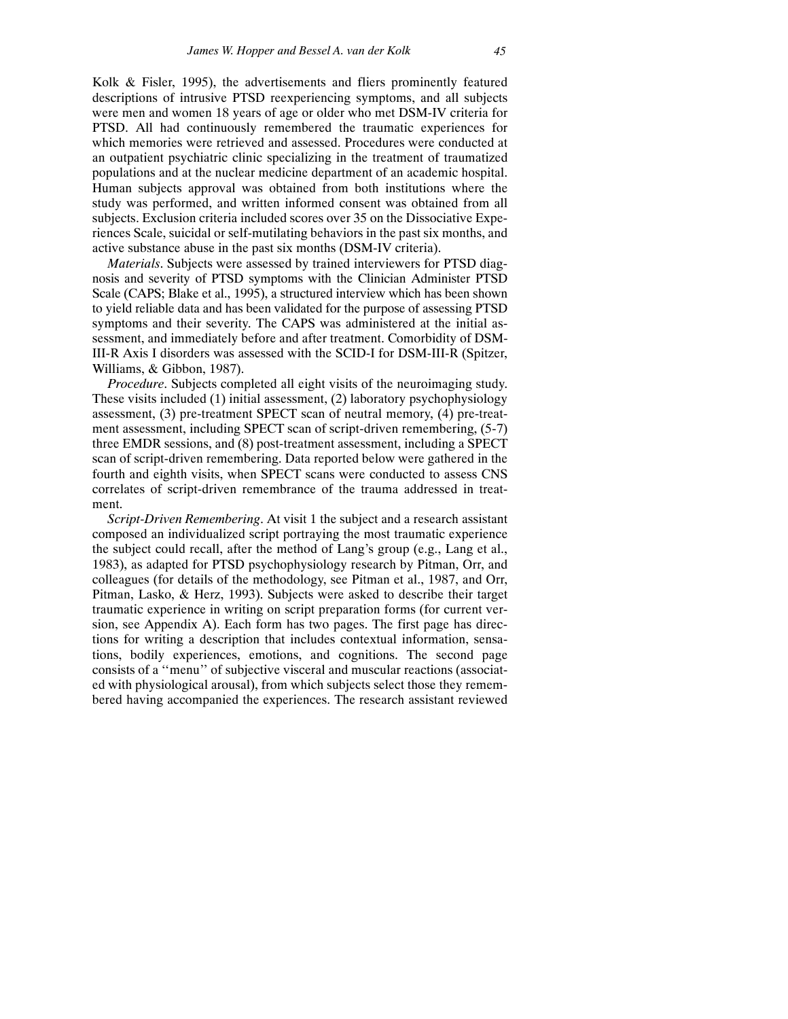Kolk & Fisler, 1995), the advertisements and fliers prominently featured descriptions of intrusive PTSD reexperiencing symptoms, and all subjects were men and women 18 years of age or older who met DSM-IV criteria for PTSD. All had continuously remembered the traumatic experiences for which memories were retrieved and assessed. Procedures were conducted at an outpatient psychiatric clinic specializing in the treatment of traumatized populations and at the nuclear medicine department of an academic hospital. Human subjects approval was obtained from both institutions where the study was performed, and written informed consent was obtained from all subjects. Exclusion criteria included scores over 35 on the Dissociative Experiences Scale, suicidal or self-mutilating behaviors in the past six months, and active substance abuse in the past six months (DSM-IV criteria).

*Materials*. Subjects were assessed by trained interviewers for PTSD diagnosis and severity of PTSD symptoms with the Clinician Administer PTSD Scale (CAPS; Blake et al., 1995), a structured interview which has been shown to yield reliable data and has been validated for the purpose of assessing PTSD symptoms and their severity. The CAPS was administered at the initial assessment, and immediately before and after treatment. Comorbidity of DSM-III-R Axis I disorders was assessed with the SCID-I for DSM-III-R (Spitzer, Williams, & Gibbon, 1987).

*Procedure*. Subjects completed all eight visits of the neuroimaging study. These visits included (1) initial assessment, (2) laboratory psychophysiology assessment, (3) pre-treatment SPECT scan of neutral memory, (4) pre-treatment assessment, including SPECT scan of script-driven remembering, (5-7) three EMDR sessions, and (8) post-treatment assessment, including a SPECT scan of script-driven remembering. Data reported below were gathered in the fourth and eighth visits, when SPECT scans were conducted to assess CNS correlates of script-driven remembrance of the trauma addressed in treatment.

*Script-Driven Remembering*. At visit 1 the subject and a research assistant composed an individualized script portraying the most traumatic experience the subject could recall, after the method of Lang's group (e.g., Lang et al., 1983), as adapted for PTSD psychophysiology research by Pitman, Orr, and colleagues (for details of the methodology, see Pitman et al., 1987, and Orr, Pitman, Lasko, & Herz, 1993). Subjects were asked to describe their target traumatic experience in writing on script preparation forms (for current version, see Appendix A). Each form has two pages. The first page has directions for writing a description that includes contextual information, sensations, bodily experiences, emotions, and cognitions. The second page consists of a ''menu'' of subjective visceral and muscular reactions (associated with physiological arousal), from which subjects select those they remembered having accompanied the experiences. The research assistant reviewed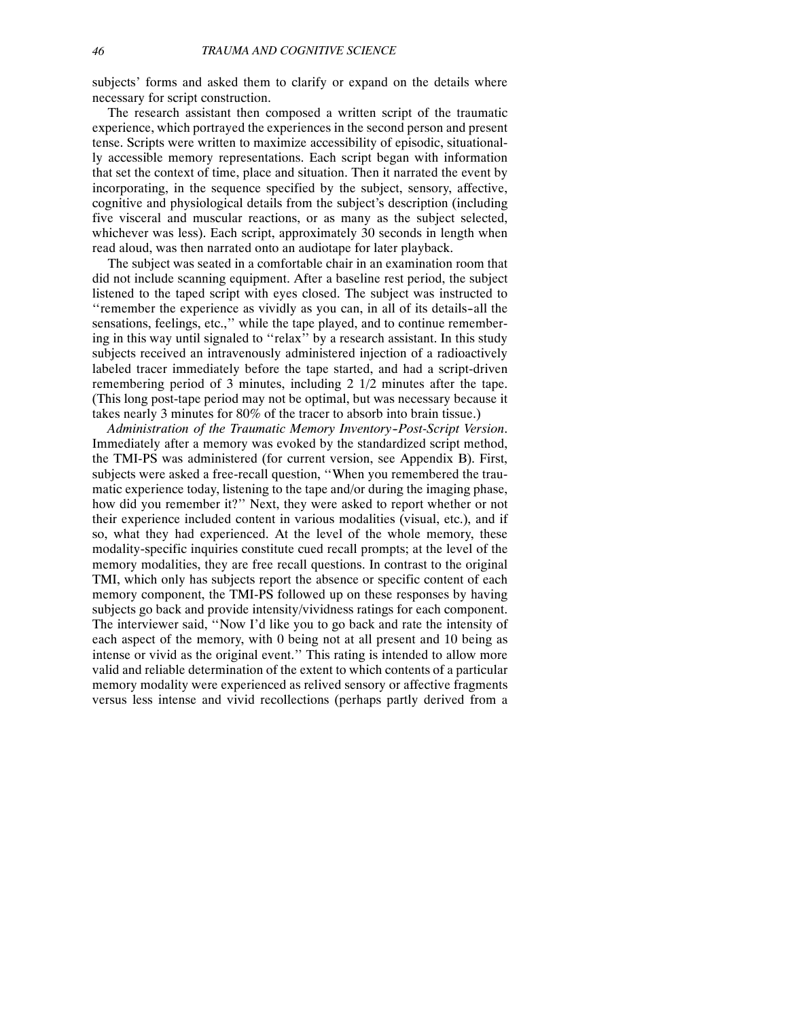subjects' forms and asked them to clarify or expand on the details where necessary for script construction.

The research assistant then composed a written script of the traumatic experience, which portrayed the experiences in the second person and present tense. Scripts were written to maximize accessibility of episodic, situationally accessible memory representations. Each script began with information that set the context of time, place and situation. Then it narrated the event by incorporating, in the sequence specified by the subject, sensory, affective, cognitive and physiological details from the subject's description (including five visceral and muscular reactions, or as many as the subject selected, whichever was less). Each script, approximately 30 seconds in length when read aloud, was then narrated onto an audiotape for later playback.

The subject was seated in a comfortable chair in an examination room that did not include scanning equipment. After a baseline rest period, the subject listened to the taped script with eyes closed. The subject was instructed to ''remember the experience as vividly as you can, in all of its details--all the sensations, feelings, etc.," while the tape played, and to continue remembering in this way until signaled to ''relax'' by a research assistant. In this study subjects received an intravenously administered injection of a radioactively labeled tracer immediately before the tape started, and had a script-driven remembering period of 3 minutes, including 2 1/2 minutes after the tape. (This long post-tape period may not be optimal, but was necessary because it takes nearly 3 minutes for 80% of the tracer to absorb into brain tissue.)

*Administration of the Traumatic Memory Inventory--Post-Script Version*. Immediately after a memory was evoked by the standardized script method, the TMI-PS was administered (for current version, see Appendix B). First, subjects were asked a free-recall question, ''When you remembered the traumatic experience today, listening to the tape and/or during the imaging phase, how did you remember it?'' Next, they were asked to report whether or not their experience included content in various modalities (visual, etc.), and if so, what they had experienced. At the level of the whole memory, these modality-specific inquiries constitute cued recall prompts; at the level of the memory modalities, they are free recall questions. In contrast to the original TMI, which only has subjects report the absence or specific content of each memory component, the TMI-PS followed up on these responses by having subjects go back and provide intensity/vividness ratings for each component. The interviewer said, ''Now I'd like you to go back and rate the intensity of each aspect of the memory, with 0 being not at all present and 10 being as intense or vivid as the original event.'' This rating is intended to allow more valid and reliable determination of the extent to which contents of a particular memory modality were experienced as relived sensory or affective fragments versus less intense and vivid recollections (perhaps partly derived from a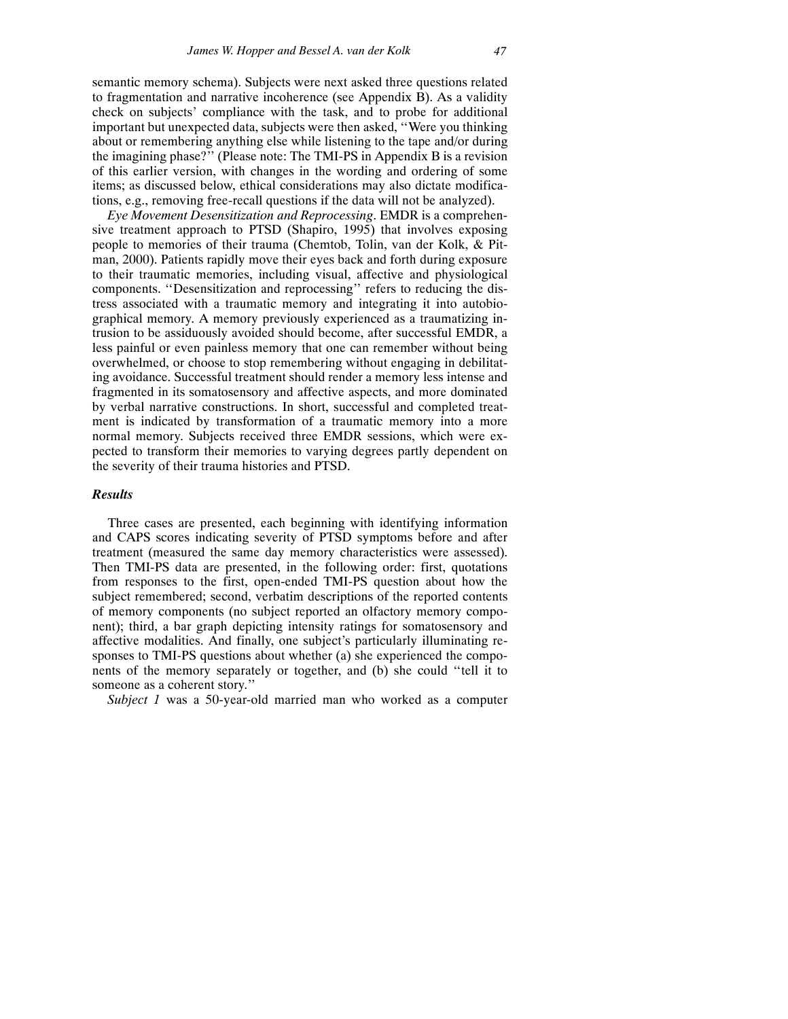semantic memory schema). Subjects were next asked three questions related to fragmentation and narrative incoherence (see Appendix B). As a validity check on subjects' compliance with the task, and to probe for additional important but unexpected data, subjects were then asked, ''Were you thinking about or remembering anything else while listening to the tape and/or during the imagining phase?'' (Please note: The TMI-PS in Appendix B is a revision of this earlier version, with changes in the wording and ordering of some items; as discussed below, ethical considerations may also dictate modifications, e.g., removing free-recall questions if the data will not be analyzed).

*Eye Movement Desensitization and Reprocessing*. EMDR is a comprehensive treatment approach to PTSD (Shapiro, 1995) that involves exposing people to memories of their trauma (Chemtob, Tolin, van der Kolk, & Pitman, 2000). Patients rapidly move their eyes back and forth during exposure to their traumatic memories, including visual, affective and physiological components. ''Desensitization and reprocessing'' refers to reducing the distress associated with a traumatic memory and integrating it into autobiographical memory. A memory previously experienced as a traumatizing intrusion to be assiduously avoided should become, after successful EMDR, a less painful or even painless memory that one can remember without being overwhelmed, or choose to stop remembering without engaging in debilitating avoidance. Successful treatment should render a memory less intense and fragmented in its somatosensory and affective aspects, and more dominated by verbal narrative constructions. In short, successful and completed treatment is indicated by transformation of a traumatic memory into a more normal memory. Subjects received three EMDR sessions, which were expected to transform their memories to varying degrees partly dependent on the severity of their trauma histories and PTSD.

## *Results*

Three cases are presented, each beginning with identifying information and CAPS scores indicating severity of PTSD symptoms before and after treatment (measured the same day memory characteristics were assessed). Then TMI-PS data are presented, in the following order: first, quotations from responses to the first, open-ended TMI-PS question about how the subject remembered; second, verbatim descriptions of the reported contents of memory components (no subject reported an olfactory memory component); third, a bar graph depicting intensity ratings for somatosensory and affective modalities. And finally, one subject's particularly illuminating responses to TMI-PS questions about whether (a) she experienced the components of the memory separately or together, and (b) she could ''tell it to someone as a coherent story.''

*Subject 1* was a 50-year-old married man who worked as a computer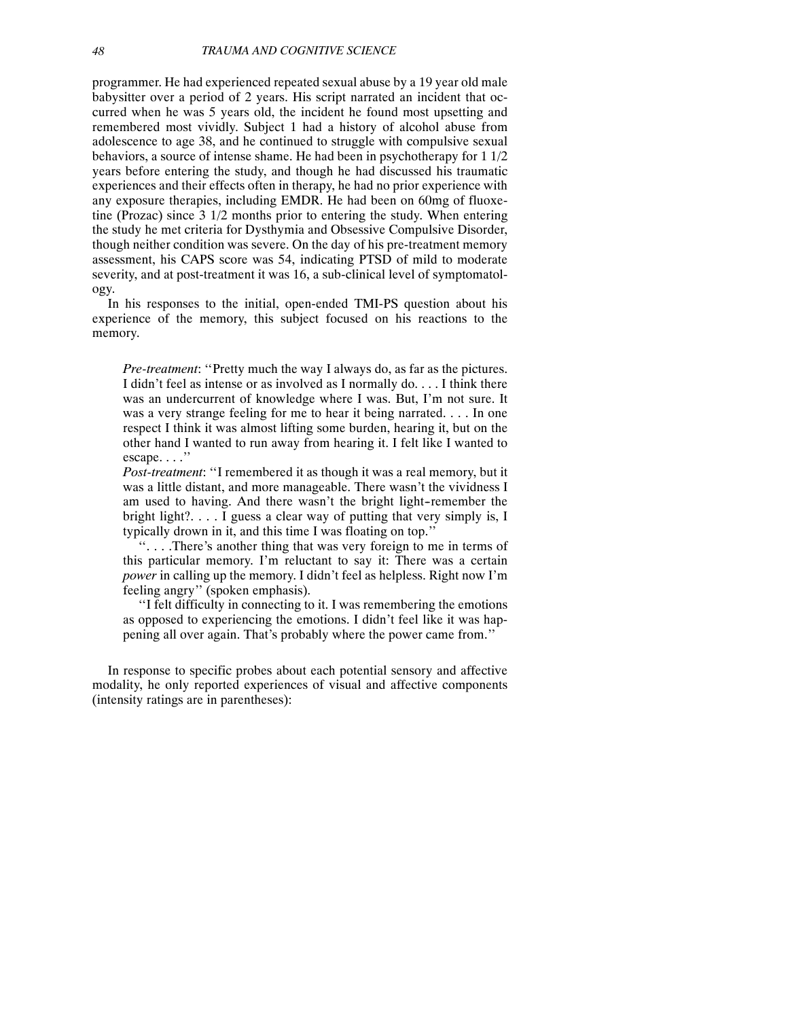programmer. He had experienced repeated sexual abuse by a 19 year old male babysitter over a period of 2 years. His script narrated an incident that occurred when he was 5 years old, the incident he found most upsetting and remembered most vividly. Subject 1 had a history of alcohol abuse from adolescence to age 38, and he continued to struggle with compulsive sexual behaviors, a source of intense shame. He had been in psychotherapy for 1 1/2 years before entering the study, and though he had discussed his traumatic experiences and their effects often in therapy, he had no prior experience with any exposure therapies, including EMDR. He had been on 60mg of fluoxetine (Prozac) since 3 1/2 months prior to entering the study. When entering the study he met criteria for Dysthymia and Obsessive Compulsive Disorder, though neither condition was severe. On the day of his pre-treatment memory assessment, his CAPS score was 54, indicating PTSD of mild to moderate severity, and at post-treatment it was 16, a sub-clinical level of symptomatology.

In his responses to the initial, open-ended TMI-PS question about his experience of the memory, this subject focused on his reactions to the memory.

*Pre-treatment*: "Pretty much the way I always do, as far as the pictures. I didn't feel as intense or as involved as I normally do. . . . I think there was an undercurrent of knowledge where I was. But, I'm not sure. It was a very strange feeling for me to hear it being narrated. . . . In one respect I think it was almost lifting some burden, hearing it, but on the other hand I wanted to run away from hearing it. I felt like I wanted to escape. . . .''

*Post-treatment*: ''I remembered it as though it was a real memory, but it was a little distant, and more manageable. There wasn't the vividness I am used to having. And there wasn't the bright light--remember the bright light?. . . . I guess a clear way of putting that very simply is, I typically drown in it, and this time I was floating on top.''

''. . . .There's another thing that was very foreign to me in terms of this particular memory. I'm reluctant to say it: There was a certain *power* in calling up the memory. I didn't feel as helpless. Right now I'm feeling angry'' (spoken emphasis).

''I felt difficulty in connecting to it. I was remembering the emotions as opposed to experiencing the emotions. I didn't feel like it was happening all over again. That's probably where the power came from.''

In response to specific probes about each potential sensory and affective modality, he only reported experiences of visual and affective components (intensity ratings are in parentheses):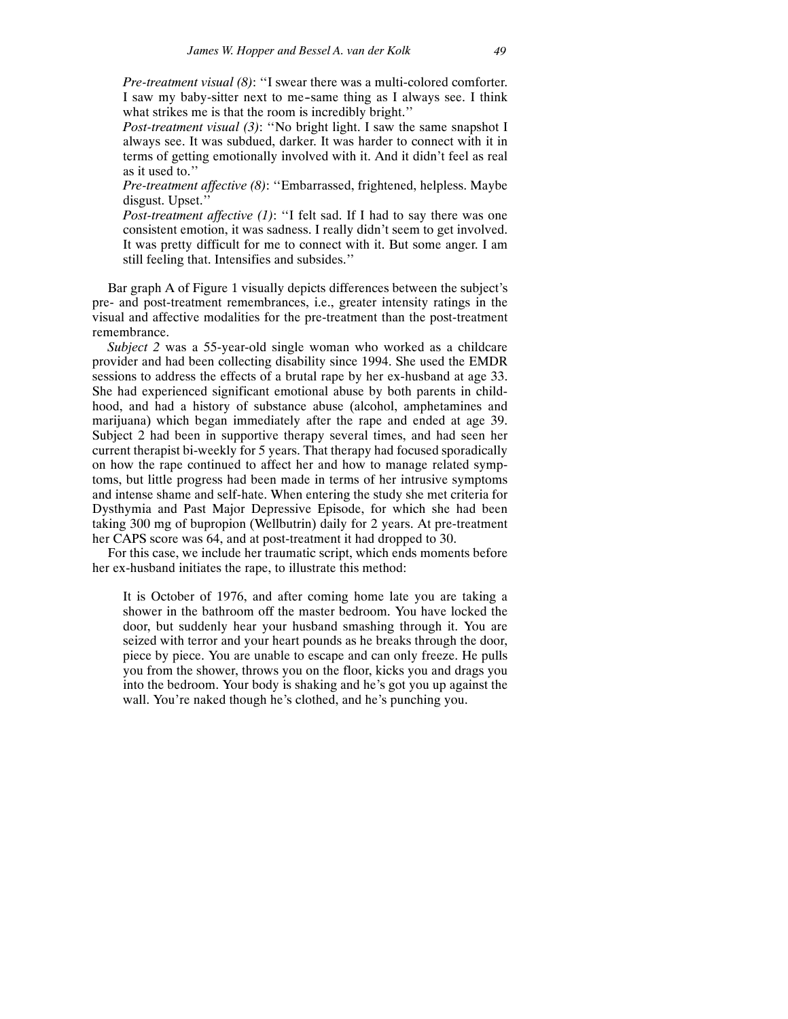*Pre-treatment visual (8)*: ''I swear there was a multi-colored comforter. I saw my baby-sitter next to me-same thing as I always see. I think what strikes me is that the room is incredibly bright."

*Post-treatment visual (3)*: "No bright light. I saw the same snapshot I always see. It was subdued, darker. It was harder to connect with it in terms of getting emotionally involved with it. And it didn't feel as real as it used to.''

*Pre-treatment affective (8)*: ''Embarrassed, frightened, helpless. Maybe disgust. Upset.''

*Post-treatment affective (1)*: "I felt sad. If I had to say there was one consistent emotion, it was sadness. I really didn't seem to get involved. It was pretty difficult for me to connect with it. But some anger. I am still feeling that. Intensifies and subsides.''

Bar graph A of Figure 1 visually depicts differences between the subject's pre- and post-treatment remembrances, i.e., greater intensity ratings in the visual and affective modalities for the pre-treatment than the post-treatment remembrance.

*Subject 2* was a 55-year-old single woman who worked as a childcare provider and had been collecting disability since 1994. She used the EMDR sessions to address the effects of a brutal rape by her ex-husband at age 33. She had experienced significant emotional abuse by both parents in childhood, and had a history of substance abuse (alcohol, amphetamines and marijuana) which began immediately after the rape and ended at age 39. Subject 2 had been in supportive therapy several times, and had seen her current therapist bi-weekly for 5 years. That therapy had focused sporadically on how the rape continued to affect her and how to manage related symptoms, but little progress had been made in terms of her intrusive symptoms and intense shame and self-hate. When entering the study she met criteria for Dysthymia and Past Major Depressive Episode, for which she had been taking 300 mg of bupropion (Wellbutrin) daily for 2 years. At pre-treatment her CAPS score was 64, and at post-treatment it had dropped to 30.

For this case, we include her traumatic script, which ends moments before her ex-husband initiates the rape, to illustrate this method:

It is October of 1976, and after coming home late you are taking a shower in the bathroom off the master bedroom. You have locked the door, but suddenly hear your husband smashing through it. You are seized with terror and your heart pounds as he breaks through the door, piece by piece. You are unable to escape and can only freeze. He pulls you from the shower, throws you on the floor, kicks you and drags you into the bedroom. Your body is shaking and he's got you up against the wall. You're naked though he's clothed, and he's punching you.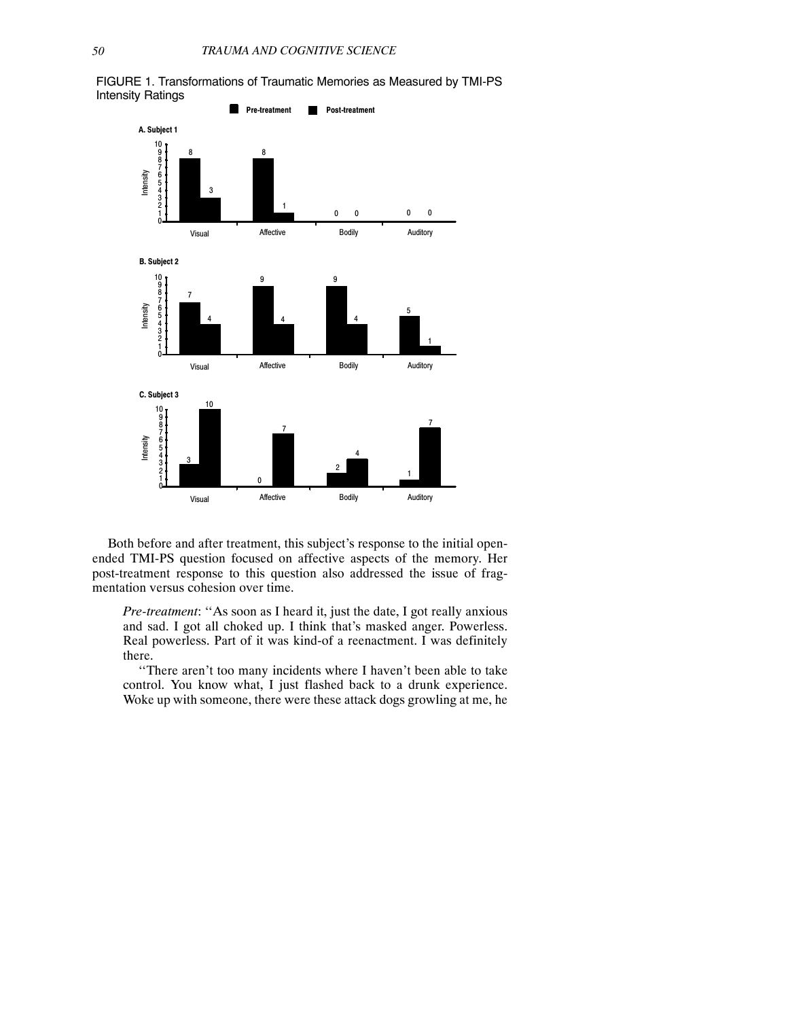

FIGURE 1. Transformations of Traumatic Memories as Measured by TMI-PS Intensity Ratings

Both before and after treatment, this subject's response to the initial openended TMI-PS question focused on affective aspects of the memory. Her post-treatment response to this question also addressed the issue of fragmentation versus cohesion over time.

*Pre-treatment*: ''As soon as I heard it, just the date, I got really anxious and sad. I got all choked up. I think that's masked anger. Powerless. Real powerless. Part of it was kind-of a reenactment. I was definitely there.

''There aren't too many incidents where I haven't been able to take control. You know what, I just flashed back to a drunk experience. Woke up with someone, there were these attack dogs growling at me, he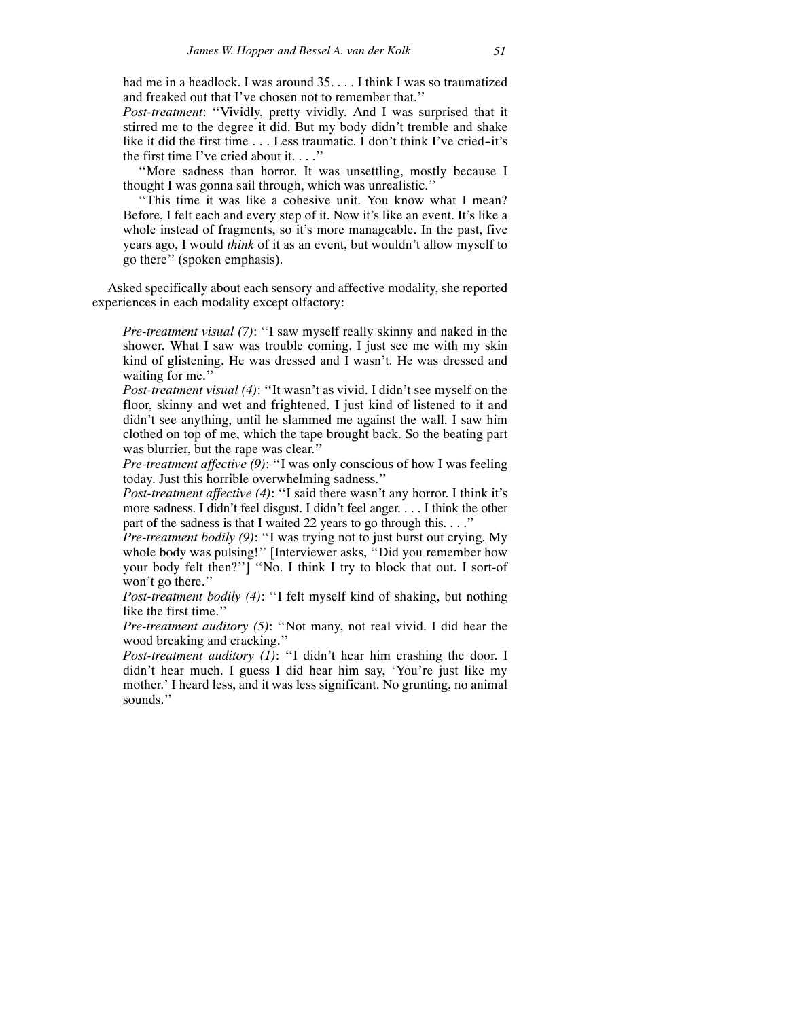had me in a headlock. I was around 35. . . . I think I was so traumatized and freaked out that I've chosen not to remember that.''

Post-treatment: "Vividly, pretty vividly. And I was surprised that it stirred me to the degree it did. But my body didn't tremble and shake like it did the first time . . . Less traumatic. I don't think I've cried-it's the first time I've cried about it. . . .''

''More sadness than horror. It was unsettling, mostly because I thought I was gonna sail through, which was unrealistic.''

''This time it was like a cohesive unit. You know what I mean? Before, I felt each and every step of it. Now it's like an event. It's like a whole instead of fragments, so it's more manageable. In the past, five years ago, I would *think* of it as an event, but wouldn't allow myself to go there'' (spoken emphasis).

Asked specifically about each sensory and affective modality, she reported experiences in each modality except olfactory:

*Pre-treatment visual (7)*: ''I saw myself really skinny and naked in the shower. What I saw was trouble coming. I just see me with my skin kind of glistening. He was dressed and I wasn't. He was dressed and waiting for me.''

*Post-treatment visual (4)*: "It wasn't as vivid. I didn't see myself on the floor, skinny and wet and frightened. I just kind of listened to it and didn't see anything, until he slammed me against the wall. I saw him clothed on top of me, which the tape brought back. So the beating part was blurrier, but the rape was clear.''

*Pre-treatment affective (9)*: "I was only conscious of how I was feeling today. Just this horrible overwhelming sadness.''

*Post-treatment affective (4)*: ''I said there wasn't any horror. I think it's more sadness. I didn't feel disgust. I didn't feel anger. . . . I think the other part of the sadness is that I waited 22 years to go through this. . . .''

*Pre-treatment bodily (9)*: ''I was trying not to just burst out crying. My whole body was pulsing!'' [Interviewer asks, ''Did you remember how your body felt then?''] ''No. I think I try to block that out. I sort-of won't go there.''

*Post-treatment bodily (4)*: ''I felt myself kind of shaking, but nothing like the first time.''

*Pre-treatment auditory (5)*: ''Not many, not real vivid. I did hear the wood breaking and cracking.''

*Post-treatment auditory (1)*: "I didn't hear him crashing the door. I didn't hear much. I guess I did hear him say, 'You're just like my mother.' I heard less, and it was less significant. No grunting, no animal sounds.''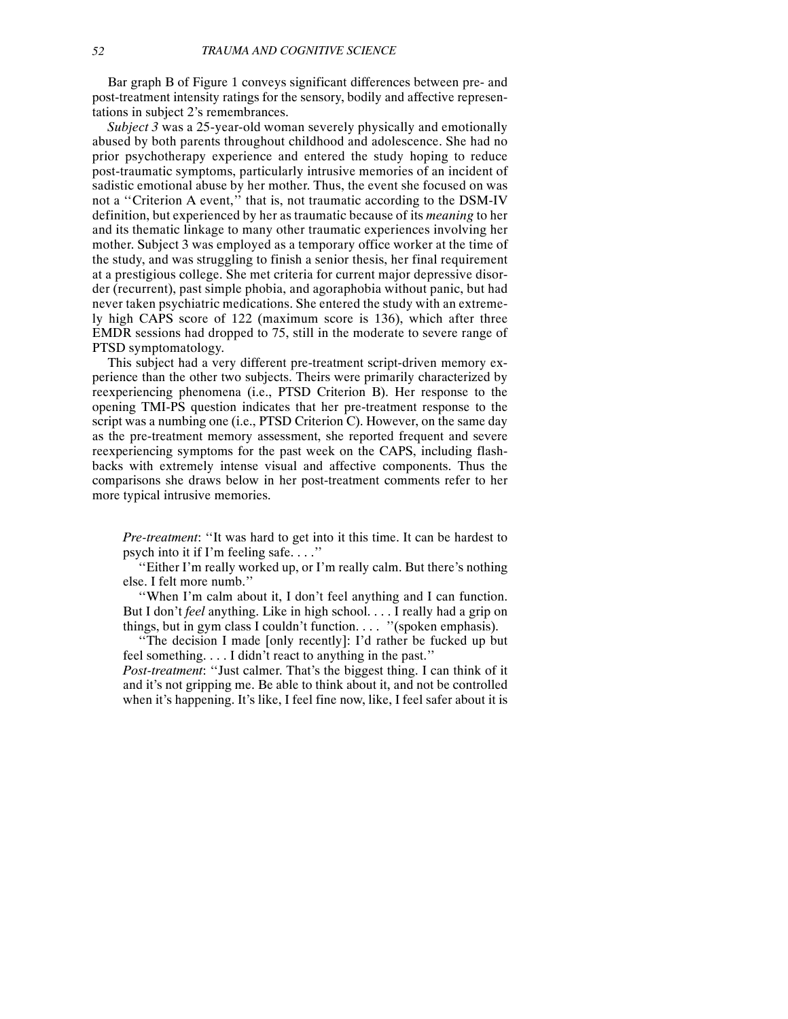Bar graph B of Figure 1 conveys significant differences between pre- and post-treatment intensity ratings for the sensory, bodily and affective representations in subject 2's remembrances.

*Subject 3* was a 25-year-old woman severely physically and emotionally abused by both parents throughout childhood and adolescence. She had no prior psychotherapy experience and entered the study hoping to reduce post-traumatic symptoms, particularly intrusive memories of an incident of sadistic emotional abuse by her mother. Thus, the event she focused on was not a ''Criterion A event,'' that is, not traumatic according to the DSM-IV definition, but experienced by her as traumatic because of its *meaning* to her and its thematic linkage to many other traumatic experiences involving her mother. Subject 3 was employed as a temporary office worker at the time of the study, and was struggling to finish a senior thesis, her final requirement at a prestigious college. She met criteria for current major depressive disorder (recurrent), past simple phobia, and agoraphobia without panic, but had never taken psychiatric medications. She entered the study with an extremely high CAPS score of 122 (maximum score is 136), which after three EMDR sessions had dropped to 75, still in the moderate to severe range of PTSD symptomatology.

This subject had a very different pre-treatment script-driven memory experience than the other two subjects. Theirs were primarily characterized by reexperiencing phenomena (i.e., PTSD Criterion B). Her response to the opening TMI-PS question indicates that her pre-treatment response to the script was a numbing one (i.e., PTSD Criterion C). However, on the same day as the pre-treatment memory assessment, she reported frequent and severe reexperiencing symptoms for the past week on the CAPS, including flashbacks with extremely intense visual and affective components. Thus the comparisons she draws below in her post-treatment comments refer to her more typical intrusive memories.

*Pre-treatment*: ''It was hard to get into it this time. It can be hardest to psych into it if I'm feeling safe. . . .''

''Either I'm really worked up, or I'm really calm. But there's nothing else. I felt more numb.''

''When I'm calm about it, I don't feel anything and I can function. But I don't *feel* anything. Like in high school. . . . I really had a grip on things, but in gym class I couldn't function. . . . ''(spoken emphasis).

''The decision I made [only recently]: I'd rather be fucked up but feel something. . . . I didn't react to anything in the past.'' *Post-treatment*: ''Just calmer. That's the biggest thing. I can think of it and it's not gripping me. Be able to think about it, and not be controlled when it's happening. It's like, I feel fine now, like, I feel safer about it is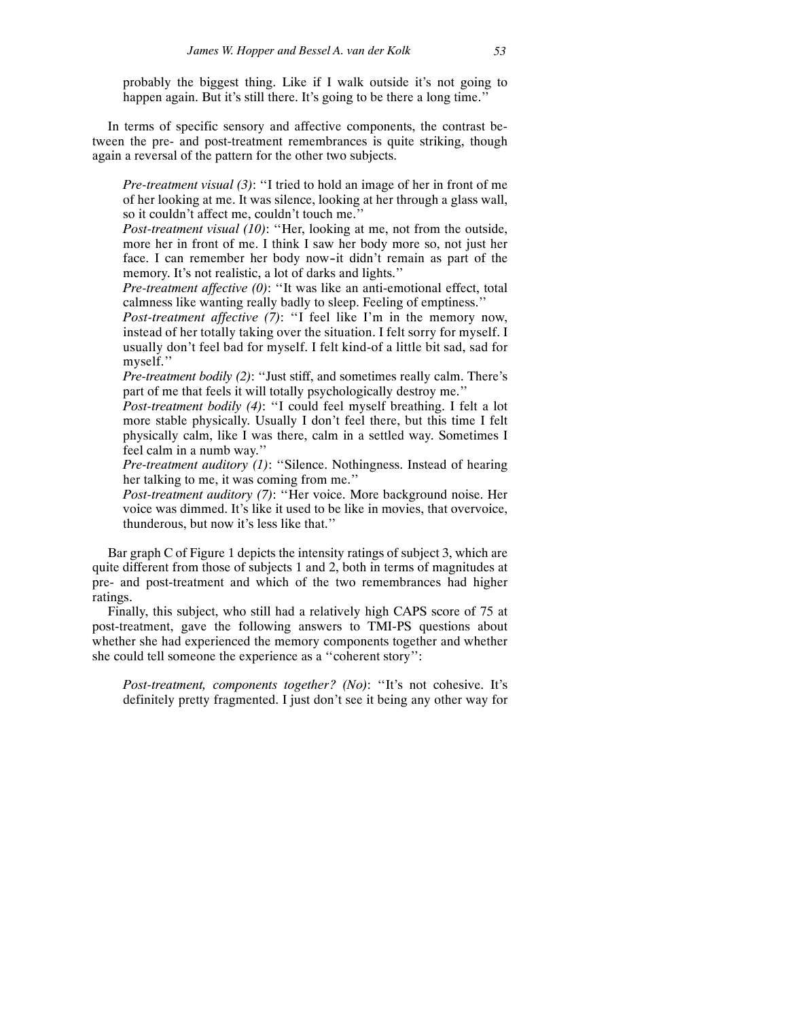probably the biggest thing. Like if I walk outside it's not going to happen again. But it's still there. It's going to be there a long time."

In terms of specific sensory and affective components, the contrast between the pre- and post-treatment remembrances is quite striking, though again a reversal of the pattern for the other two subjects.

*Pre-treatment visual (3)*: ''I tried to hold an image of her in front of me of her looking at me. It was silence, looking at her through a glass wall, so it couldn't affect me, couldn't touch me.''

*Post-treatment visual (10)*: ''Her, looking at me, not from the outside, more her in front of me. I think I saw her body more so, not just her face. I can remember her body now-it didn't remain as part of the memory. It's not realistic, a lot of darks and lights."

*Pre-treatment affective (0)*: "It was like an anti-emotional effect, total calmness like wanting really badly to sleep. Feeling of emptiness.''

*Post-treatment affective (7)*: "I feel like I'm in the memory now, instead of her totally taking over the situation. I felt sorry for myself. I usually don't feel bad for myself. I felt kind-of a little bit sad, sad for myself.''

*Pre-treatment bodily (2)*: ''Just stiff, and sometimes really calm. There's part of me that feels it will totally psychologically destroy me.''

*Post-treatment bodily (4)*: ''I could feel myself breathing. I felt a lot more stable physically. Usually I don't feel there, but this time I felt physically calm, like I was there, calm in a settled way. Sometimes I feel calm in a numb way.''

*Pre-treatment auditory (1)*: ''Silence. Nothingness. Instead of hearing her talking to me, it was coming from me.''

*Post-treatment auditory (7)*: ''Her voice. More background noise. Her voice was dimmed. It's like it used to be like in movies, that overvoice, thunderous, but now it's less like that.''

Bar graph C of Figure 1 depicts the intensity ratings of subject 3, which are quite different from those of subjects 1 and 2, both in terms of magnitudes at pre- and post-treatment and which of the two remembrances had higher ratings.

Finally, this subject, who still had a relatively high CAPS score of 75 at post-treatment, gave the following answers to TMI-PS questions about whether she had experienced the memory components together and whether she could tell someone the experience as a ''coherent story'':

*Post-treatment, components together? (No)*: ''It's not cohesive. It's definitely pretty fragmented. I just don't see it being any other way for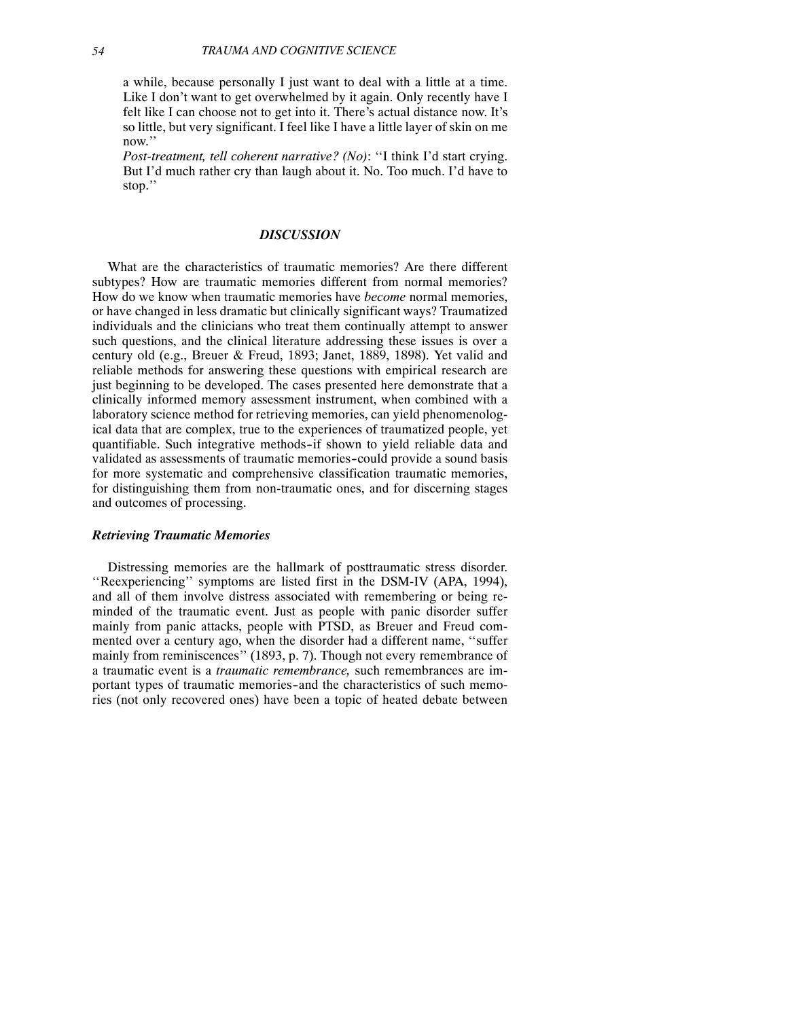a while, because personally I just want to deal with a little at a time. Like I don't want to get overwhelmed by it again. Only recently have I felt like I can choose not to get into it. There's actual distance now. It's so little, but very significant. I feel like I have a little layer of skin on me now."

*Post-treatment, tell coherent narrative? (No)*: ''I think I'd start crying. But I'd much rather cry than laugh about it. No. Too much. I'd have to stop.''

## *DISCUSSION*

What are the characteristics of traumatic memories? Are there different subtypes? How are traumatic memories different from normal memories? How do we know when traumatic memories have *become* normal memories, or have changed in less dramatic but clinically significant ways? Traumatized individuals and the clinicians who treat them continually attempt to answer such questions, and the clinical literature addressing these issues is over a century old (e.g., Breuer & Freud, 1893; Janet, 1889, 1898). Yet valid and reliable methods for answering these questions with empirical research are just beginning to be developed. The cases presented here demonstrate that a clinically informed memory assessment instrument, when combined with a laboratory science method for retrieving memories, can yield phenomenological data that are complex, true to the experiences of traumatized people, yet quantifiable. Such integrative methods-if shown to yield reliable data and validated as assessments of traumatic memories--could provide a sound basis for more systematic and comprehensive classification traumatic memories, for distinguishing them from non-traumatic ones, and for discerning stages and outcomes of processing.

## *Retrieving Traumatic Memories*

Distressing memories are the hallmark of posttraumatic stress disorder. ''Reexperiencing'' symptoms are listed first in the DSM-IV (APA, 1994), and all of them involve distress associated with remembering or being reminded of the traumatic event. Just as people with panic disorder suffer mainly from panic attacks, people with PTSD, as Breuer and Freud commented over a century ago, when the disorder had a different name, ''suffer mainly from reminiscences" (1893, p. 7). Though not every remembrance of a traumatic event is a *traumatic remembrance,* such remembrances are important types of traumatic memories-and the characteristics of such memories (not only recovered ones) have been a topic of heated debate between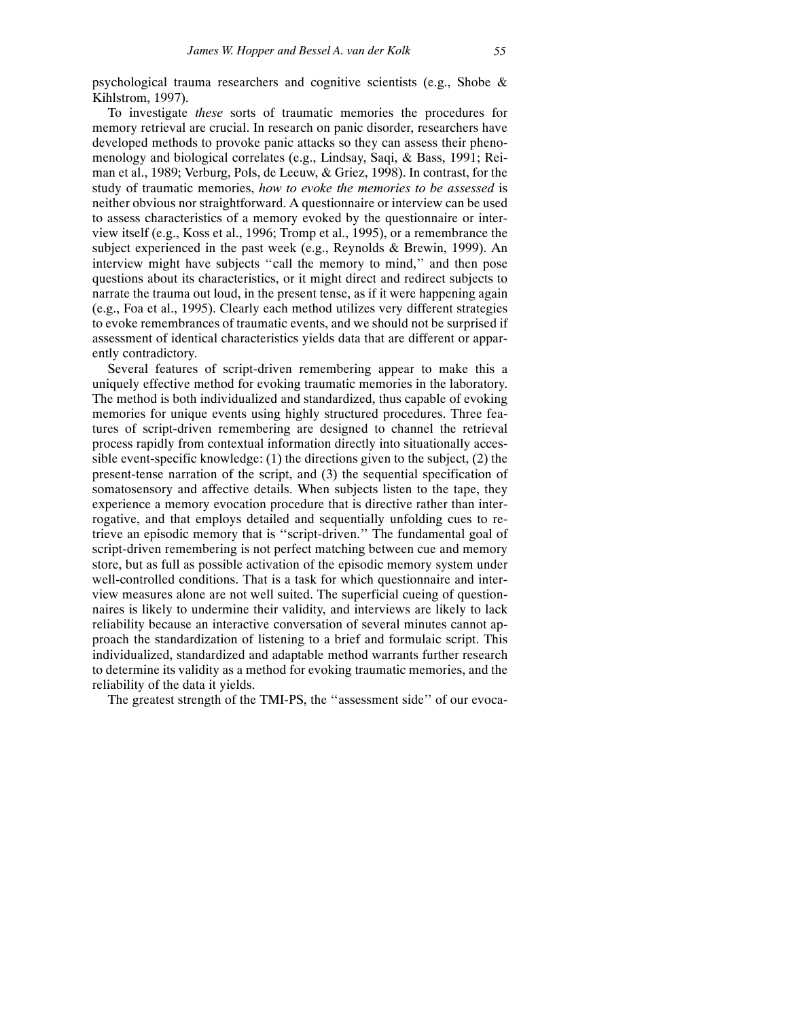psychological trauma researchers and cognitive scientists (e.g., Shobe & Kihlstrom, 1997).

To investigate *these* sorts of traumatic memories the procedures for memory retrieval are crucial. In research on panic disorder, researchers have developed methods to provoke panic attacks so they can assess their phenomenology and biological correlates (e.g., Lindsay, Saqi, & Bass, 1991; Reiman et al., 1989; Verburg, Pols, de Leeuw, & Griez, 1998). In contrast, for the study of traumatic memories, *how to evoke the memories to be assessed* is neither obvious nor straightforward. A questionnaire or interview can be used to assess characteristics of a memory evoked by the questionnaire or interview itself (e.g., Koss et al., 1996; Tromp et al., 1995), or a remembrance the subject experienced in the past week (e.g., Reynolds & Brewin, 1999). An interview might have subjects ''call the memory to mind,'' and then pose questions about its characteristics, or it might direct and redirect subjects to narrate the trauma out loud, in the present tense, as if it were happening again (e.g., Foa et al., 1995). Clearly each method utilizes very different strategies to evoke remembrances of traumatic events, and we should not be surprised if assessment of identical characteristics yields data that are different or apparently contradictory.

Several features of script-driven remembering appear to make this a uniquely effective method for evoking traumatic memories in the laboratory. The method is both individualized and standardized, thus capable of evoking memories for unique events using highly structured procedures. Three features of script-driven remembering are designed to channel the retrieval process rapidly from contextual information directly into situationally accessible event-specific knowledge: (1) the directions given to the subject, (2) the present-tense narration of the script, and (3) the sequential specification of somatosensory and affective details. When subjects listen to the tape, they experience a memory evocation procedure that is directive rather than interrogative, and that employs detailed and sequentially unfolding cues to retrieve an episodic memory that is ''script-driven.'' The fundamental goal of script-driven remembering is not perfect matching between cue and memory store, but as full as possible activation of the episodic memory system under well-controlled conditions. That is a task for which questionnaire and interview measures alone are not well suited. The superficial cueing of questionnaires is likely to undermine their validity, and interviews are likely to lack reliability because an interactive conversation of several minutes cannot approach the standardization of listening to a brief and formulaic script. This individualized, standardized and adaptable method warrants further research to determine its validity as a method for evoking traumatic memories, and the reliability of the data it yields.

The greatest strength of the TMI-PS, the ''assessment side'' of our evoca-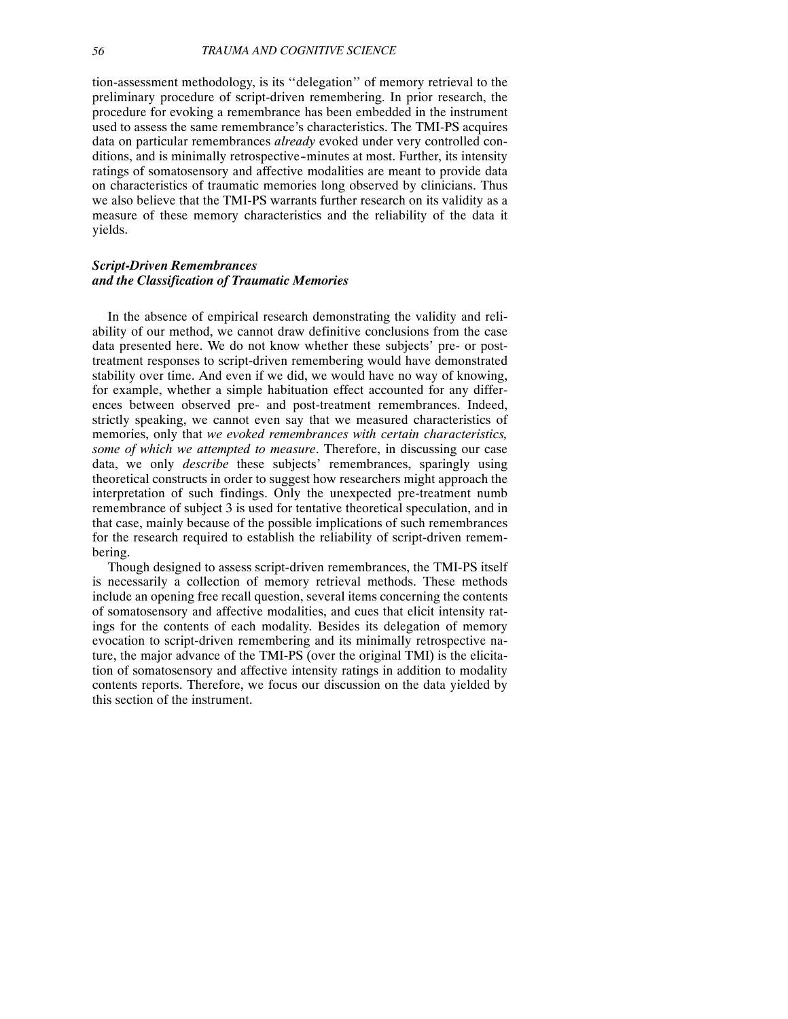tion-assessment methodology, is its ''delegation'' of memory retrieval to the preliminary procedure of script-driven remembering. In prior research, the procedure for evoking a remembrance has been embedded in the instrument used to assess the same remembrance's characteristics. The TMI-PS acquires data on particular remembrances *already* evoked under very controlled conditions, and is minimally retrospective--minutes at most. Further, its intensity ratings of somatosensory and affective modalities are meant to provide data on characteristics of traumatic memories long observed by clinicians. Thus we also believe that the TMI-PS warrants further research on its validity as a measure of these memory characteristics and the reliability of the data it yields.

## *Script-Driven Remembrances and the Classification of Traumatic Memories*

In the absence of empirical research demonstrating the validity and reliability of our method, we cannot draw definitive conclusions from the case data presented here. We do not know whether these subjects' pre- or posttreatment responses to script-driven remembering would have demonstrated stability over time. And even if we did, we would have no way of knowing, for example, whether a simple habituation effect accounted for any differences between observed pre- and post-treatment remembrances. Indeed, strictly speaking, we cannot even say that we measured characteristics of memories, only that *we evoked remembrances with certain characteristics, some of which we attempted to measure*. Therefore, in discussing our case data, we only *describe* these subjects' remembrances, sparingly using theoretical constructs in order to suggest how researchers might approach the interpretation of such findings. Only the unexpected pre-treatment numb remembrance of subject 3 is used for tentative theoretical speculation, and in that case, mainly because of the possible implications of such remembrances for the research required to establish the reliability of script-driven remembering.

Though designed to assess script-driven remembrances, the TMI-PS itself is necessarily a collection of memory retrieval methods. These methods include an opening free recall question, several items concerning the contents of somatosensory and affective modalities, and cues that elicit intensity ratings for the contents of each modality. Besides its delegation of memory evocation to script-driven remembering and its minimally retrospective nature, the major advance of the TMI-PS (over the original TMI) is the elicitation of somatosensory and affective intensity ratings in addition to modality contents reports. Therefore, we focus our discussion on the data yielded by this section of the instrument.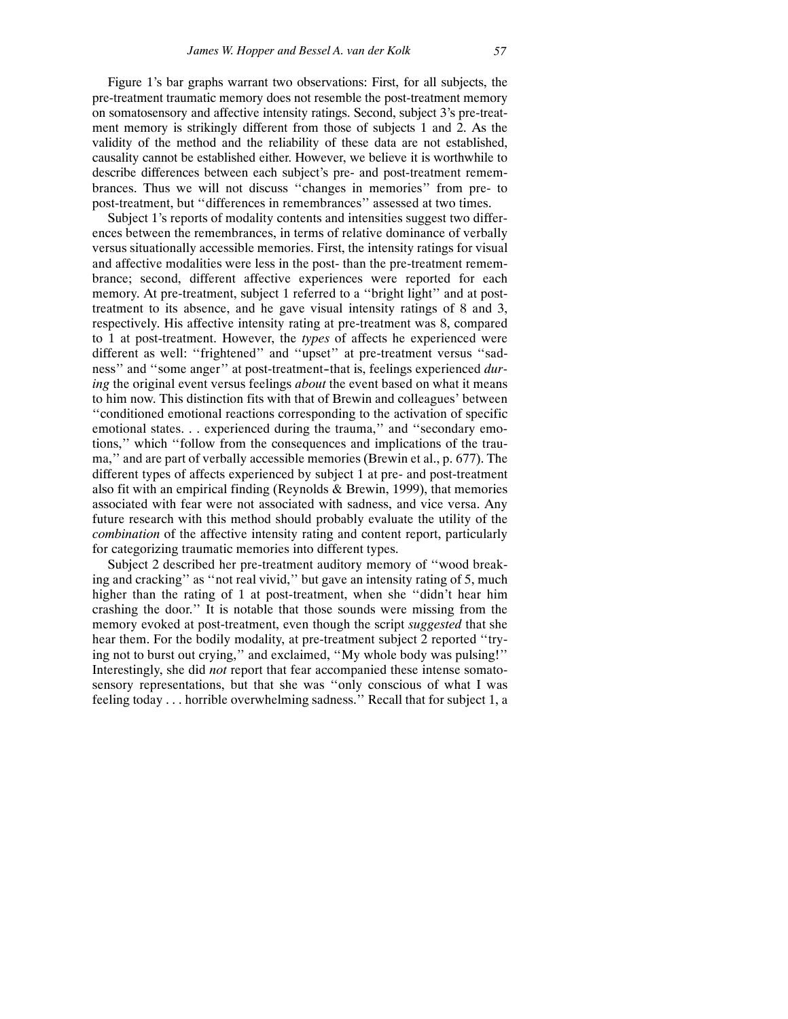Figure 1's bar graphs warrant two observations: First, for all subjects, the pre-treatment traumatic memory does not resemble the post-treatment memory on somatosensory and affective intensity ratings. Second, subject 3's pre-treatment memory is strikingly different from those of subjects 1 and 2. As the validity of the method and the reliability of these data are not established, causality cannot be established either. However, we believe it is worthwhile to describe differences between each subject's pre- and post-treatment remembrances. Thus we will not discuss ''changes in memories'' from pre- to post-treatment, but ''differences in remembrances'' assessed at two times.

Subject 1's reports of modality contents and intensities suggest two differences between the remembrances, in terms of relative dominance of verbally versus situationally accessible memories. First, the intensity ratings for visual and affective modalities were less in the post- than the pre-treatment remembrance; second, different affective experiences were reported for each memory. At pre-treatment, subject 1 referred to a "bright light" and at posttreatment to its absence, and he gave visual intensity ratings of 8 and 3, respectively. His affective intensity rating at pre-treatment was 8, compared to 1 at post-treatment. However, the *types* of affects he experienced were different as well: "frightened" and "upset" at pre-treatment versus "sadness'' and ''some anger'' at post-treatment--that is, feelings experienced *during* the original event versus feelings *about* the event based on what it means to him now. This distinction fits with that of Brewin and colleagues' between ''conditioned emotional reactions corresponding to the activation of specific emotional states. . . experienced during the trauma," and "secondary emotions,'' which ''follow from the consequences and implications of the trauma,'' and are part of verbally accessible memories (Brewin et al., p. 677). The different types of affects experienced by subject 1 at pre- and post-treatment also fit with an empirical finding (Reynolds & Brewin, 1999), that memories associated with fear were not associated with sadness, and vice versa. Any future research with this method should probably evaluate the utility of the *combination* of the affective intensity rating and content report, particularly for categorizing traumatic memories into different types.

Subject 2 described her pre-treatment auditory memory of ''wood breaking and cracking" as "not real vivid," but gave an intensity rating of 5, much higher than the rating of 1 at post-treatment, when she ''didn't hear him crashing the door.'' It is notable that those sounds were missing from the memory evoked at post-treatment, even though the script *suggested* that she hear them. For the bodily modality, at pre-treatment subject 2 reported ''trying not to burst out crying,'' and exclaimed, ''My whole body was pulsing!'' Interestingly, she did *not* report that fear accompanied these intense somatosensory representations, but that she was ''only conscious of what I was feeling today . . . horrible overwhelming sadness.'' Recall that for subject 1, a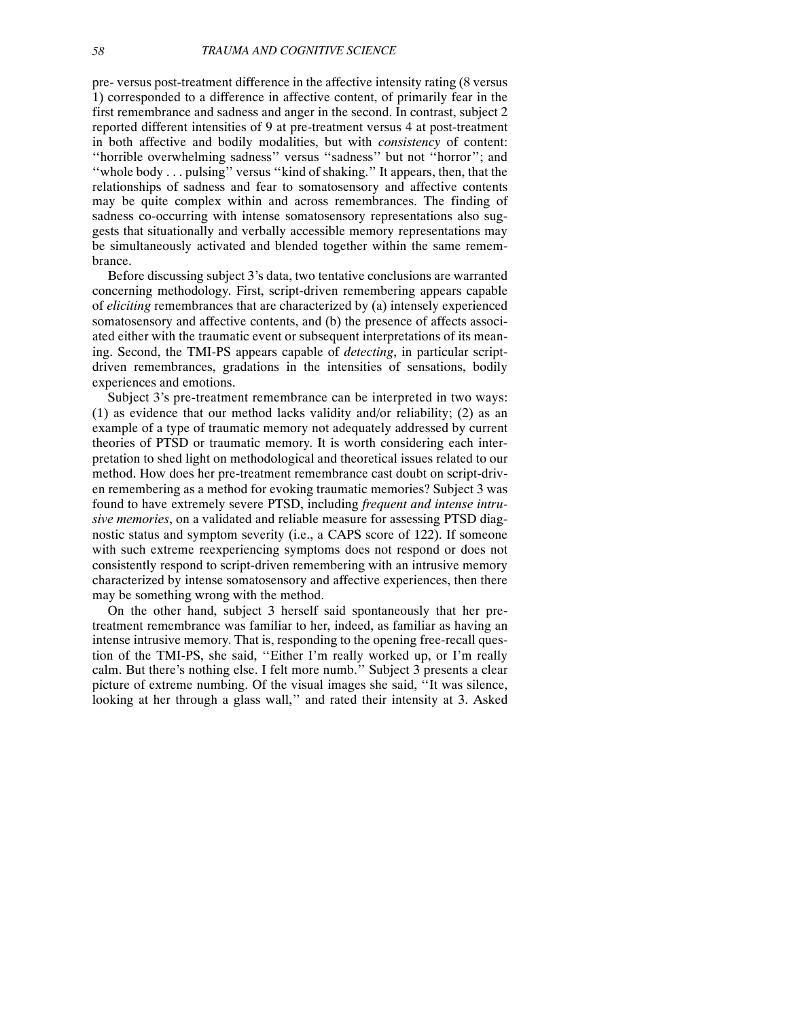pre- versus post-treatment difference in the affective intensity rating (8 versus 1) corresponded to a difference in affective content, of primarily fear in the first remembrance and sadness and anger in the second. In contrast, subject 2 reported different intensities of 9 at pre-treatment versus 4 at post-treatment in both affective and bodily modalities, but with *consistency* of content: "horrible overwhelming sadness" versus "sadness" but not "horror"; and ''whole body . . . pulsing'' versus ''kind of shaking.'' It appears, then, that the relationships of sadness and fear to somatosensory and affective contents may be quite complex within and across remembrances. The finding of sadness co-occurring with intense somatosensory representations also suggests that situationally and verbally accessible memory representations may be simultaneously activated and blended together within the same remembrance.

Before discussing subject 3's data, two tentative conclusions are warranted concerning methodology. First, script-driven remembering appears capable of *eliciting* remembrances that are characterized by (a) intensely experienced somatosensory and affective contents, and (b) the presence of affects associated either with the traumatic event or subsequent interpretations of its meaning. Second, the TMI-PS appears capable of *detecting*, in particular scriptdriven remembrances, gradations in the intensities of sensations, bodily experiences and emotions.

Subject 3's pre-treatment remembrance can be interpreted in two ways: (1) as evidence that our method lacks validity and/or reliability; (2) as an example of a type of traumatic memory not adequately addressed by current theories of PTSD or traumatic memory. It is worth considering each interpretation to shed light on methodological and theoretical issues related to our method. How does her pre-treatment remembrance cast doubt on script-driven remembering as a method for evoking traumatic memories? Subject 3 was found to have extremely severe PTSD, including *frequent and intense intrusive memories*, on a validated and reliable measure for assessing PTSD diagnostic status and symptom severity (i.e., a CAPS score of 122). If someone with such extreme reexperiencing symptoms does not respond or does not consistently respond to script-driven remembering with an intrusive memory characterized by intense somatosensory and affective experiences, then there may be something wrong with the method.

On the other hand, subject 3 herself said spontaneously that her pretreatment remembrance was familiar to her, indeed, as familiar as having an intense intrusive memory. That is, responding to the opening free-recall question of the TMI-PS, she said, ''Either I'm really worked up, or I'm really calm. But there's nothing else. I felt more numb.'' Subject 3 presents a clear picture of extreme numbing. Of the visual images she said, ''It was silence, looking at her through a glass wall,'' and rated their intensity at 3. Asked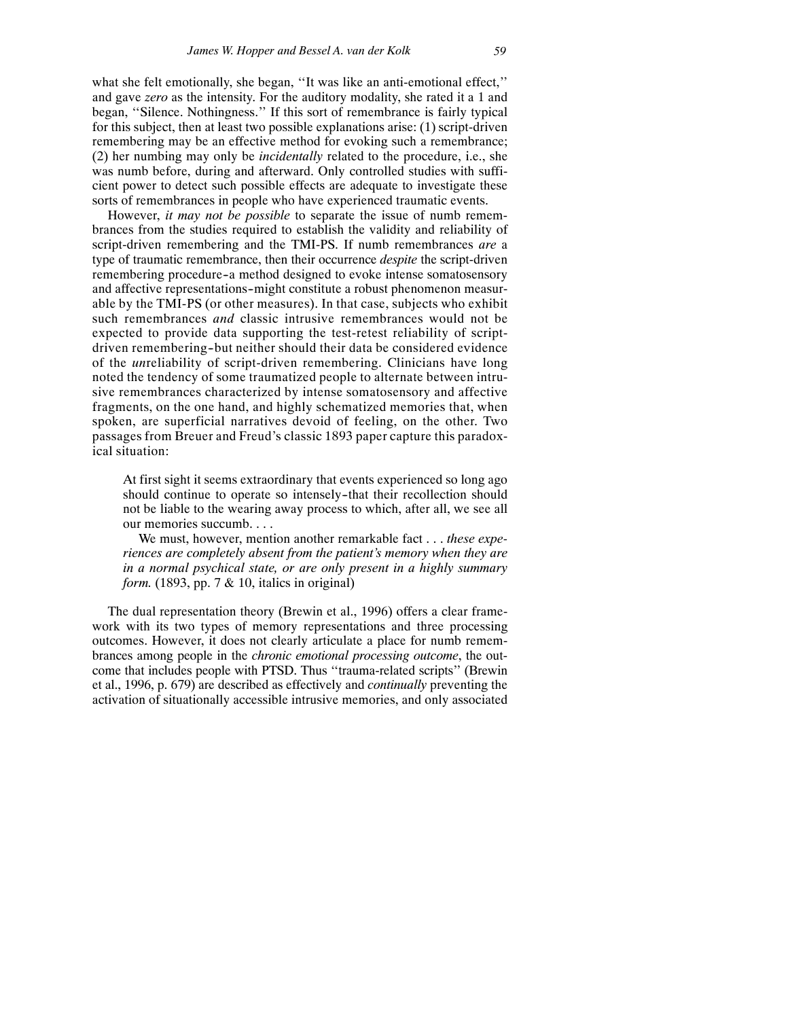what she felt emotionally, she began, "It was like an anti-emotional effect," and gave *zero* as the intensity. For the auditory modality, she rated it a 1 and began, ''Silence. Nothingness.'' If this sort of remembrance is fairly typical for this subject, then at least two possible explanations arise: (1) script-driven remembering may be an effective method for evoking such a remembrance; (2) her numbing may only be *incidentally* related to the procedure, i.e., she was numb before, during and afterward. Only controlled studies with sufficient power to detect such possible effects are adequate to investigate these sorts of remembrances in people who have experienced traumatic events.

However, *it may not be possible* to separate the issue of numb remembrances from the studies required to establish the validity and reliability of script-driven remembering and the TMI-PS. If numb remembrances *are* a type of traumatic remembrance, then their occurrence *despite* the script-driven remembering procedure-a method designed to evoke intense somatosensory and affective representations--might constitute a robust phenomenon measurable by the TMI-PS (or other measures). In that case, subjects who exhibit such remembrances *and* classic intrusive remembrances would not be expected to provide data supporting the test-retest reliability of scriptdriven remembering--but neither should their data be considered evidence of the *un*reliability of script-driven remembering. Clinicians have long noted the tendency of some traumatized people to alternate between intrusive remembrances characterized by intense somatosensory and affective fragments, on the one hand, and highly schematized memories that, when spoken, are superficial narratives devoid of feeling, on the other. Two passages from Breuer and Freud's classic 1893 paper capture this paradoxical situation:

At first sight it seems extraordinary that events experienced so long ago should continue to operate so intensely--that their recollection should not be liable to the wearing away process to which, after all, we see all our memories succumb. . . .

We must, however, mention another remarkable fact . . . *these experiences are completely absent from the patient's memory when they are in a normal psychical state, or are only present in a highly summary form.* (1893, pp. 7 & 10, italics in original)

The dual representation theory (Brewin et al., 1996) offers a clear framework with its two types of memory representations and three processing outcomes. However, it does not clearly articulate a place for numb remembrances among people in the *chronic emotional processing outcome*, the outcome that includes people with PTSD. Thus ''trauma-related scripts'' (Brewin et al., 1996, p. 679) are described as effectively and *continually* preventing the activation of situationally accessible intrusive memories, and only associated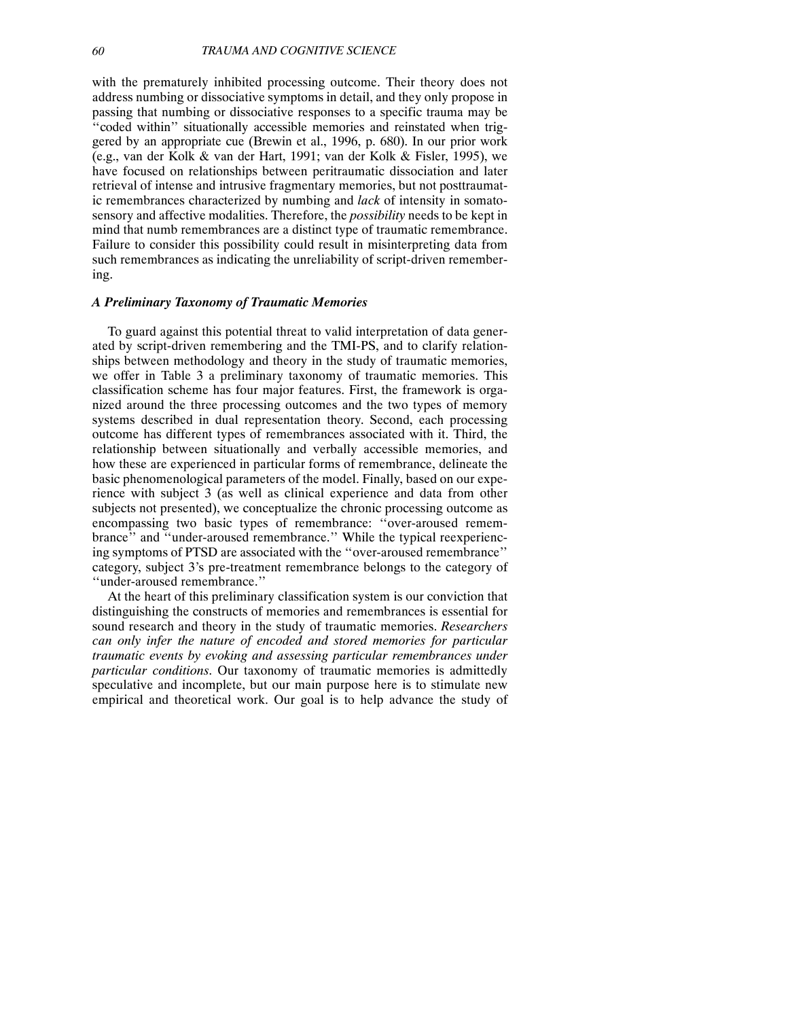with the prematurely inhibited processing outcome. Their theory does not address numbing or dissociative symptoms in detail, and they only propose in passing that numbing or dissociative responses to a specific trauma may be "coded within" situationally accessible memories and reinstated when triggered by an appropriate cue (Brewin et al., 1996, p. 680). In our prior work (e.g., van der Kolk & van der Hart, 1991; van der Kolk & Fisler, 1995), we have focused on relationships between peritraumatic dissociation and later retrieval of intense and intrusive fragmentary memories, but not posttraumatic remembrances characterized by numbing and *lack* of intensity in somatosensory and affective modalities. Therefore, the *possibility* needs to be kept in mind that numb remembrances are a distinct type of traumatic remembrance. Failure to consider this possibility could result in misinterpreting data from such remembrances as indicating the unreliability of script-driven remembering.

## *A Preliminary Taxonomy of Traumatic Memories*

To guard against this potential threat to valid interpretation of data generated by script-driven remembering and the TMI-PS, and to clarify relationships between methodology and theory in the study of traumatic memories, we offer in Table 3 a preliminary taxonomy of traumatic memories. This classification scheme has four major features. First, the framework is organized around the three processing outcomes and the two types of memory systems described in dual representation theory. Second, each processing outcome has different types of remembrances associated with it. Third, the relationship between situationally and verbally accessible memories, and how these are experienced in particular forms of remembrance, delineate the basic phenomenological parameters of the model. Finally, based on our experience with subject 3 (as well as clinical experience and data from other subjects not presented), we conceptualize the chronic processing outcome as encompassing two basic types of remembrance: ''over-aroused remembrance'' and ''under-aroused remembrance.'' While the typical reexperiencing symptoms of PTSD are associated with the ''over-aroused remembrance'' category, subject 3's pre-treatment remembrance belongs to the category of ''under-aroused remembrance.''

At the heart of this preliminary classification system is our conviction that distinguishing the constructs of memories and remembrances is essential for sound research and theory in the study of traumatic memories. *Researchers can only infer the nature of encoded and stored memories for particular traumatic events by evoking and assessing particular remembrances under particular conditions*. Our taxonomy of traumatic memories is admittedly speculative and incomplete, but our main purpose here is to stimulate new empirical and theoretical work. Our goal is to help advance the study of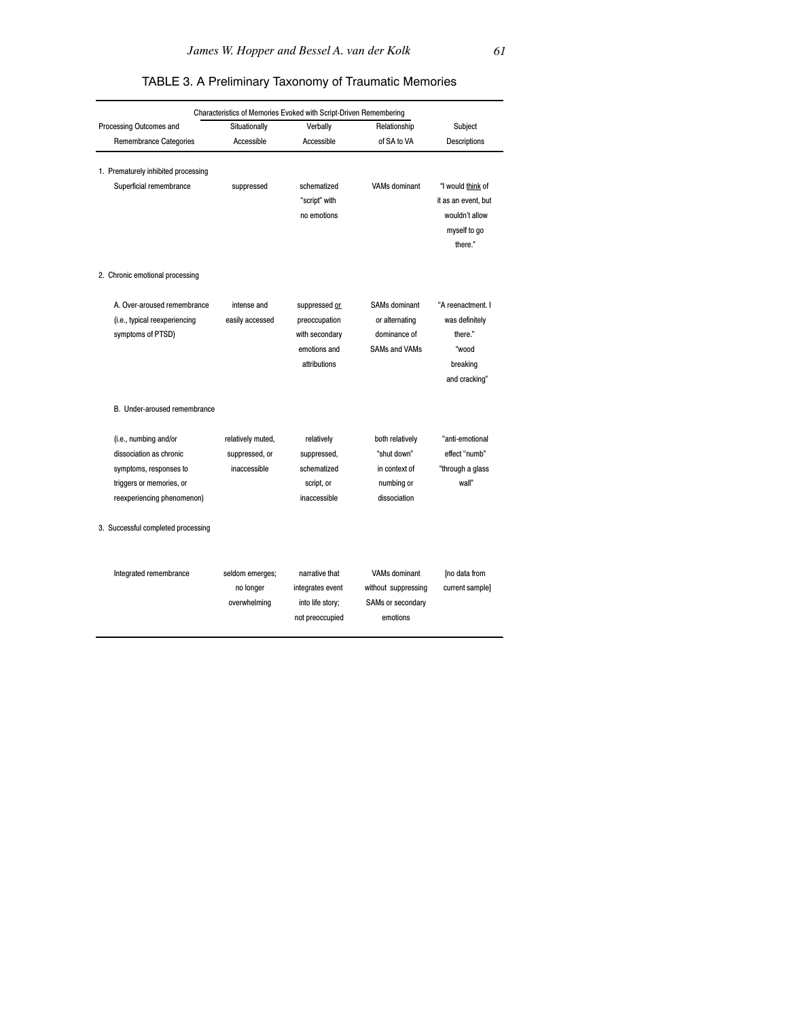## TABLE 3. A Preliminary Taxonomy of Traumatic Memories

| Processing Outcomes and             | Situationally     | Verbally         | Relationship             | Subject             |
|-------------------------------------|-------------------|------------------|--------------------------|---------------------|
| <b>Remembrance Categories</b>       | Accessible        | Accessible       | of SA to VA              | <b>Descriptions</b> |
| 1. Prematurely inhibited processing |                   |                  |                          |                     |
| Superficial remembrance             | suppressed        | schematized      | VAMs dominant            | "I would think of   |
|                                     |                   | "script" with    |                          | it as an event, but |
|                                     |                   | no emotions      |                          | wouldn't allow      |
|                                     |                   |                  |                          | myself to go        |
|                                     |                   |                  |                          | there."             |
| 2. Chronic emotional processing     |                   |                  |                          |                     |
| A. Over-aroused remembrance         | intense and       | suppressed or    | <b>SAMs dominant</b>     | "A reenactment. I   |
| (i.e., typical reexperiencing       | easily accessed   | preoccupation    | or alternating           | was definitely      |
| symptoms of PTSD)                   |                   | with secondary   | dominance of             | there."             |
|                                     |                   | emotions and     | <b>SAMs and VAMs</b>     | "wood               |
|                                     |                   | attributions     |                          | breaking            |
|                                     |                   |                  |                          | and cracking"       |
| B. Under-aroused remembrance        |                   |                  |                          |                     |
| (i.e., numbing and/or               | relatively muted, | relatively       | both relatively          | "anti-emotional     |
| dissociation as chronic             | suppressed, or    | suppressed,      | "shut down"              | effect "numb"       |
| symptoms, responses to              | inaccessible      | schematized      | in context of            | "through a glass    |
| triggers or memories, or            |                   | script, or       | numbing or               | wall"               |
| reexperiencing phenomenon)          |                   | inaccessible     | dissociation             |                     |
| 3. Successful completed processing  |                   |                  |                          |                     |
| Integrated remembrance              | seldom emerges;   | narrative that   | <b>VAMs dominant</b>     | [no data from       |
|                                     | no longer         | integrates event | without suppressing      | current sample]     |
|                                     |                   |                  |                          |                     |
|                                     | overwhelming      | into life story; | <b>SAMs or secondary</b> |                     |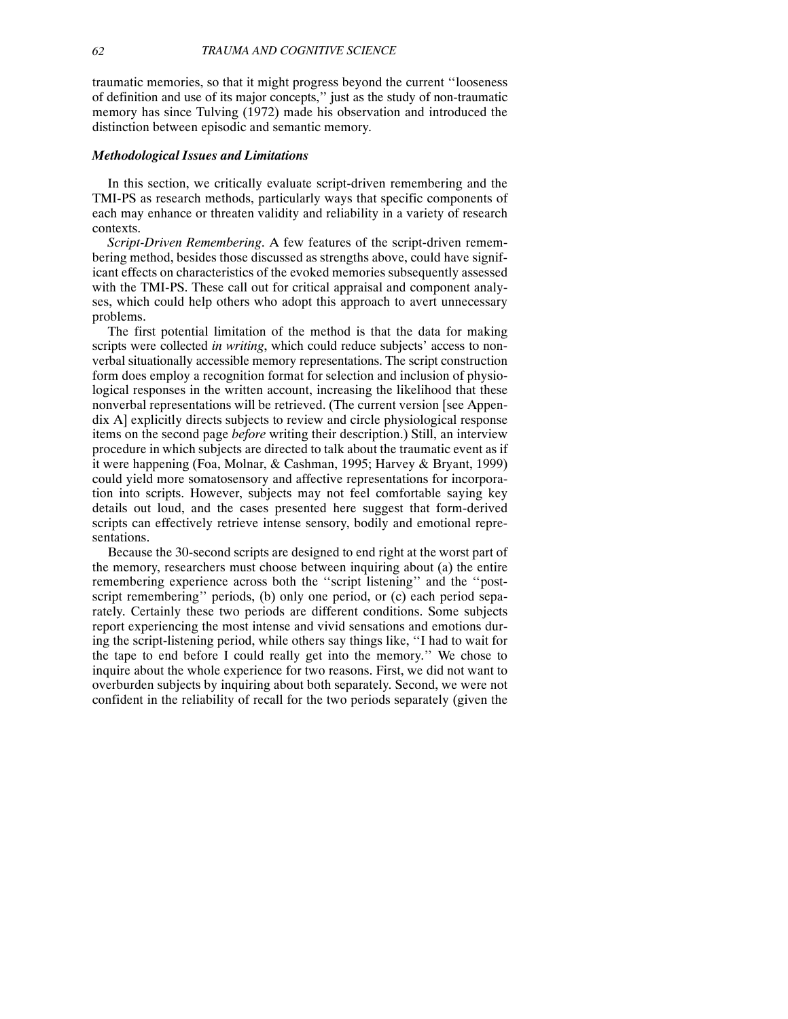traumatic memories, so that it might progress beyond the current ''looseness of definition and use of its major concepts,'' just as the study of non-traumatic memory has since Tulving (1972) made his observation and introduced the distinction between episodic and semantic memory.

## *Methodological Issues and Limitations*

In this section, we critically evaluate script-driven remembering and the TMI-PS as research methods, particularly ways that specific components of each may enhance or threaten validity and reliability in a variety of research contexts.

*Script-Driven Remembering*. A few features of the script-driven remembering method, besides those discussed as strengths above, could have significant effects on characteristics of the evoked memories subsequently assessed with the TMI-PS. These call out for critical appraisal and component analyses, which could help others who adopt this approach to avert unnecessary problems.

The first potential limitation of the method is that the data for making scripts were collected *in writing*, which could reduce subjects' access to nonverbal situationally accessible memory representations. The script construction form does employ a recognition format for selection and inclusion of physiological responses in the written account, increasing the likelihood that these nonverbal representations will be retrieved. (The current version [see Appendix A] explicitly directs subjects to review and circle physiological response items on the second page *before* writing their description.) Still, an interview procedure in which subjects are directed to talk about the traumatic event as if it were happening (Foa, Molnar, & Cashman, 1995; Harvey & Bryant, 1999) could yield more somatosensory and affective representations for incorporation into scripts. However, subjects may not feel comfortable saying key details out loud, and the cases presented here suggest that form-derived scripts can effectively retrieve intense sensory, bodily and emotional representations.

Because the 30-second scripts are designed to end right at the worst part of the memory, researchers must choose between inquiring about (a) the entire remembering experience across both the ''script listening'' and the ''postscript remembering'' periods, (b) only one period, or (c) each period separately. Certainly these two periods are different conditions. Some subjects report experiencing the most intense and vivid sensations and emotions during the script-listening period, while others say things like, ''I had to wait for the tape to end before I could really get into the memory.'' We chose to inquire about the whole experience for two reasons. First, we did not want to overburden subjects by inquiring about both separately. Second, we were not confident in the reliability of recall for the two periods separately (given the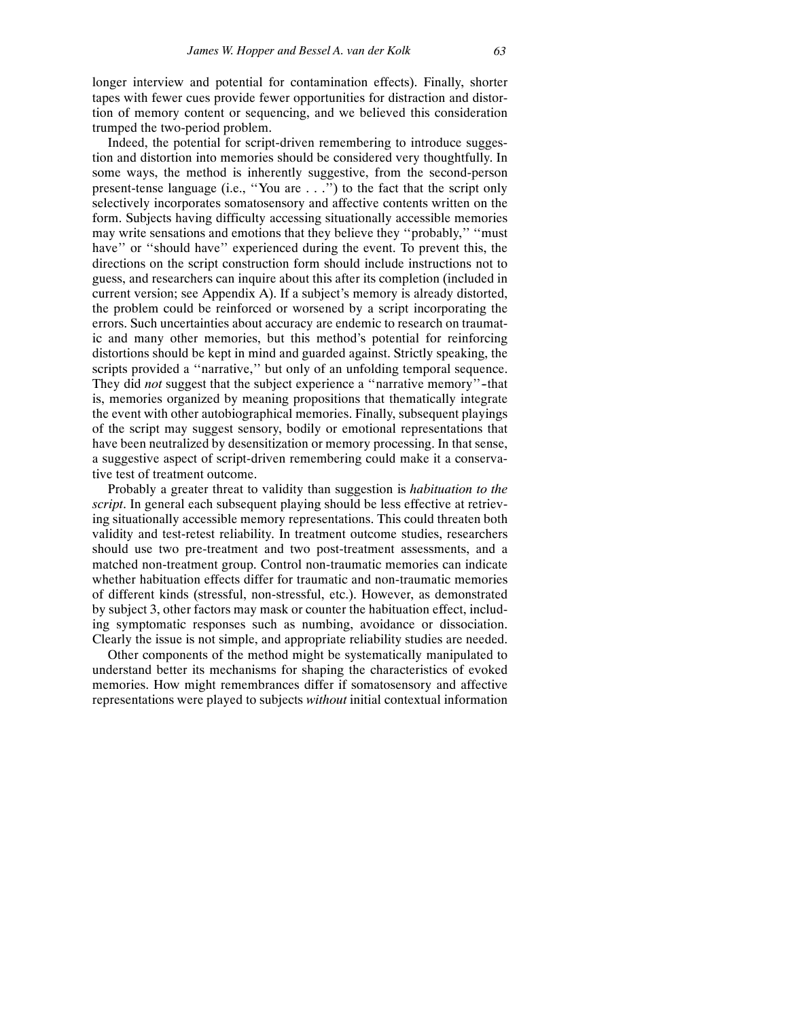longer interview and potential for contamination effects). Finally, shorter tapes with fewer cues provide fewer opportunities for distraction and distortion of memory content or sequencing, and we believed this consideration trumped the two-period problem.

Indeed, the potential for script-driven remembering to introduce suggestion and distortion into memories should be considered very thoughtfully. In some ways, the method is inherently suggestive, from the second-person present-tense language (i.e., ''You are . . .'') to the fact that the script only selectively incorporates somatosensory and affective contents written on the form. Subjects having difficulty accessing situationally accessible memories may write sensations and emotions that they believe they ''probably,'' ''must have" or "should have" experienced during the event. To prevent this, the directions on the script construction form should include instructions not to guess, and researchers can inquire about this after its completion (included in current version; see Appendix A). If a subject's memory is already distorted, the problem could be reinforced or worsened by a script incorporating the errors. Such uncertainties about accuracy are endemic to research on traumatic and many other memories, but this method's potential for reinforcing distortions should be kept in mind and guarded against. Strictly speaking, the scripts provided a "narrative," but only of an unfolding temporal sequence. They did *not* suggest that the subject experience a "narrative memory"-that is, memories organized by meaning propositions that thematically integrate the event with other autobiographical memories. Finally, subsequent playings of the script may suggest sensory, bodily or emotional representations that have been neutralized by desensitization or memory processing. In that sense, a suggestive aspect of script-driven remembering could make it a conservative test of treatment outcome.

Probably a greater threat to validity than suggestion is *habituation to the script*. In general each subsequent playing should be less effective at retrieving situationally accessible memory representations. This could threaten both validity and test-retest reliability. In treatment outcome studies, researchers should use two pre-treatment and two post-treatment assessments, and a matched non-treatment group. Control non-traumatic memories can indicate whether habituation effects differ for traumatic and non-traumatic memories of different kinds (stressful, non-stressful, etc.). However, as demonstrated by subject 3, other factors may mask or counter the habituation effect, including symptomatic responses such as numbing, avoidance or dissociation. Clearly the issue is not simple, and appropriate reliability studies are needed.

Other components of the method might be systematically manipulated to understand better its mechanisms for shaping the characteristics of evoked memories. How might remembrances differ if somatosensory and affective representations were played to subjects *without* initial contextual information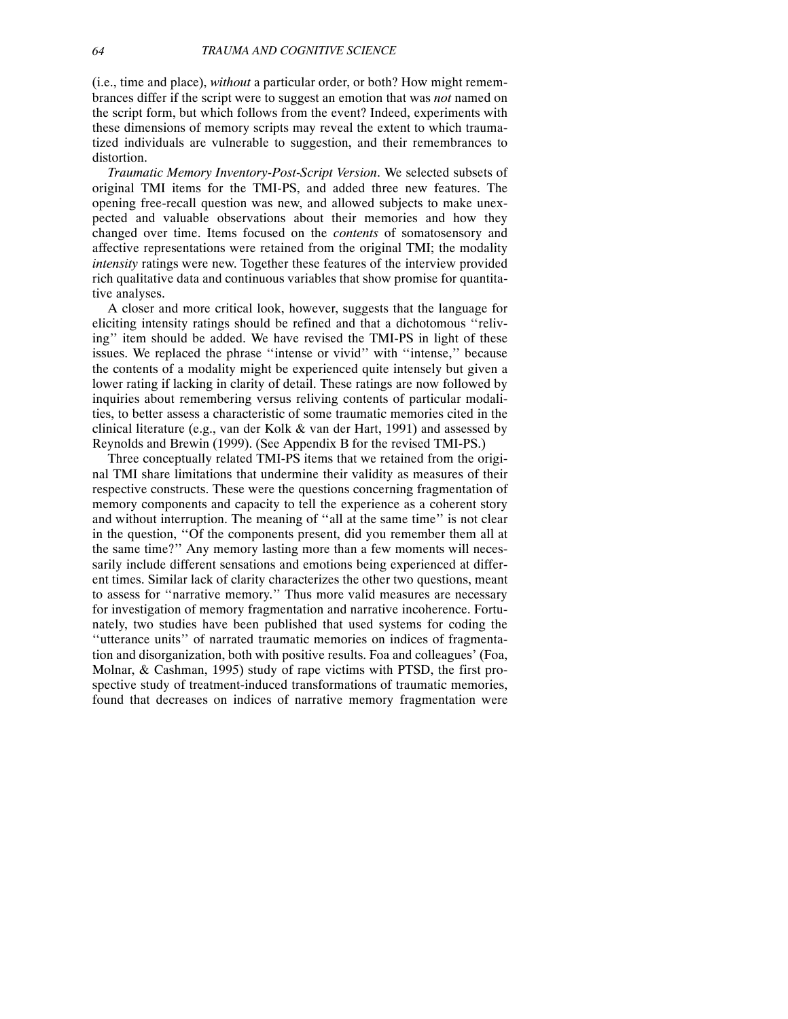(i.e., time and place), *without* a particular order, or both? How might remembrances differ if the script were to suggest an emotion that was *not* named on the script form, but which follows from the event? Indeed, experiments with these dimensions of memory scripts may reveal the extent to which traumatized individuals are vulnerable to suggestion, and their remembrances to distortion.

*Traumatic Memory Inventory-Post-Script Version*. We selected subsets of original TMI items for the TMI-PS, and added three new features. The opening free-recall question was new, and allowed subjects to make unexpected and valuable observations about their memories and how they changed over time. Items focused on the *contents* of somatosensory and affective representations were retained from the original TMI; the modality *intensity* ratings were new. Together these features of the interview provided rich qualitative data and continuous variables that show promise for quantitative analyses.

A closer and more critical look, however, suggests that the language for eliciting intensity ratings should be refined and that a dichotomous ''reliving'' item should be added. We have revised the TMI-PS in light of these issues. We replaced the phrase "intense or vivid" with "intense," because the contents of a modality might be experienced quite intensely but given a lower rating if lacking in clarity of detail. These ratings are now followed by inquiries about remembering versus reliving contents of particular modalities, to better assess a characteristic of some traumatic memories cited in the clinical literature (e.g., van der Kolk & van der Hart, 1991) and assessed by Reynolds and Brewin (1999). (See Appendix B for the revised TMI-PS.)

Three conceptually related TMI-PS items that we retained from the original TMI share limitations that undermine their validity as measures of their respective constructs. These were the questions concerning fragmentation of memory components and capacity to tell the experience as a coherent story and without interruption. The meaning of ''all at the same time'' is not clear in the question, ''Of the components present, did you remember them all at the same time?'' Any memory lasting more than a few moments will necessarily include different sensations and emotions being experienced at different times. Similar lack of clarity characterizes the other two questions, meant to assess for ''narrative memory.'' Thus more valid measures are necessary for investigation of memory fragmentation and narrative incoherence. Fortunately, two studies have been published that used systems for coding the ''utterance units'' of narrated traumatic memories on indices of fragmentation and disorganization, both with positive results. Foa and colleagues' (Foa, Molnar, & Cashman, 1995) study of rape victims with PTSD, the first prospective study of treatment-induced transformations of traumatic memories, found that decreases on indices of narrative memory fragmentation were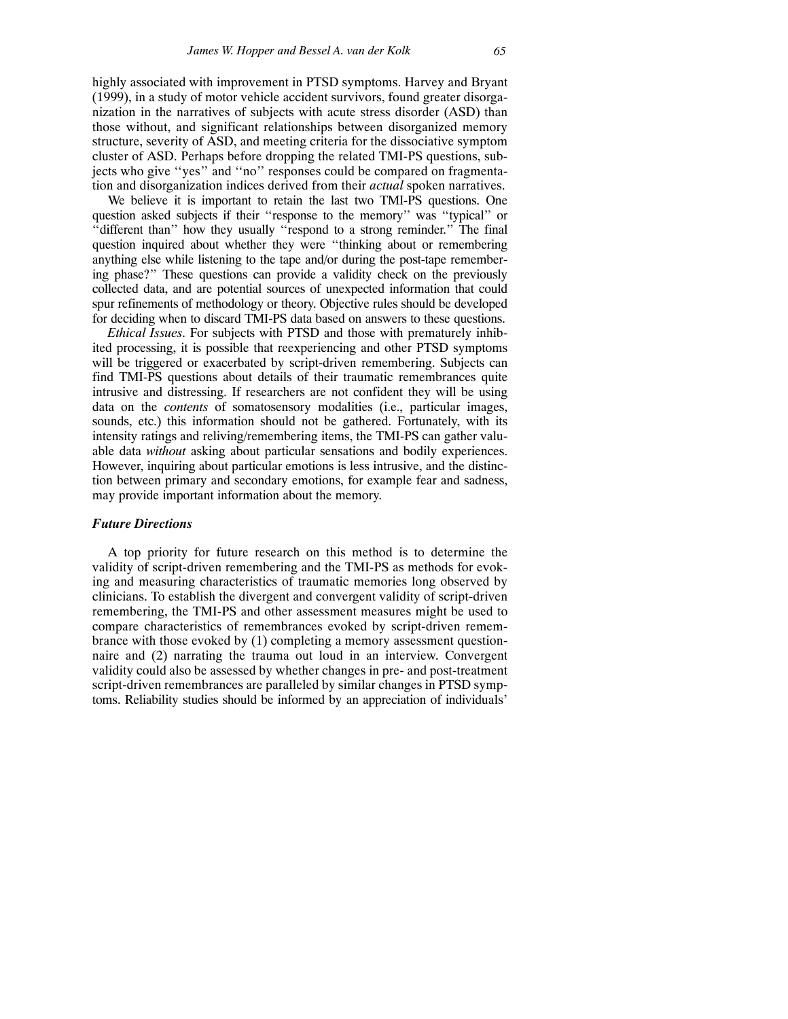highly associated with improvement in PTSD symptoms. Harvey and Bryant (1999), in a study of motor vehicle accident survivors, found greater disorganization in the narratives of subjects with acute stress disorder (ASD) than those without, and significant relationships between disorganized memory structure, severity of ASD, and meeting criteria for the dissociative symptom cluster of ASD. Perhaps before dropping the related TMI-PS questions, subjects who give ''yes'' and ''no'' responses could be compared on fragmentation and disorganization indices derived from their *actual* spoken narratives.

We believe it is important to retain the last two TMI-PS questions. One question asked subjects if their ''response to the memory'' was ''typical'' or "different than" how they usually "respond to a strong reminder." The final question inquired about whether they were ''thinking about or remembering anything else while listening to the tape and/or during the post-tape remembering phase?'' These questions can provide a validity check on the previously collected data, and are potential sources of unexpected information that could spur refinements of methodology or theory. Objective rules should be developed for deciding when to discard TMI-PS data based on answers to these questions.

*Ethical Issues*. For subjects with PTSD and those with prematurely inhibited processing, it is possible that reexperiencing and other PTSD symptoms will be triggered or exacerbated by script-driven remembering. Subjects can find TMI-PS questions about details of their traumatic remembrances quite intrusive and distressing. If researchers are not confident they will be using data on the *contents* of somatosensory modalities (i.e., particular images, sounds, etc.) this information should not be gathered. Fortunately, with its intensity ratings and reliving/remembering items, the TMI-PS can gather valuable data *without* asking about particular sensations and bodily experiences. However, inquiring about particular emotions is less intrusive, and the distinction between primary and secondary emotions, for example fear and sadness, may provide important information about the memory.

## *Future Directions*

A top priority for future research on this method is to determine the validity of script-driven remembering and the TMI-PS as methods for evoking and measuring characteristics of traumatic memories long observed by clinicians. To establish the divergent and convergent validity of script-driven remembering, the TMI-PS and other assessment measures might be used to compare characteristics of remembrances evoked by script-driven remembrance with those evoked by (1) completing a memory assessment questionnaire and (2) narrating the trauma out loud in an interview. Convergent validity could also be assessed by whether changes in pre- and post-treatment script-driven remembrances are paralleled by similar changes in PTSD symptoms. Reliability studies should be informed by an appreciation of individuals'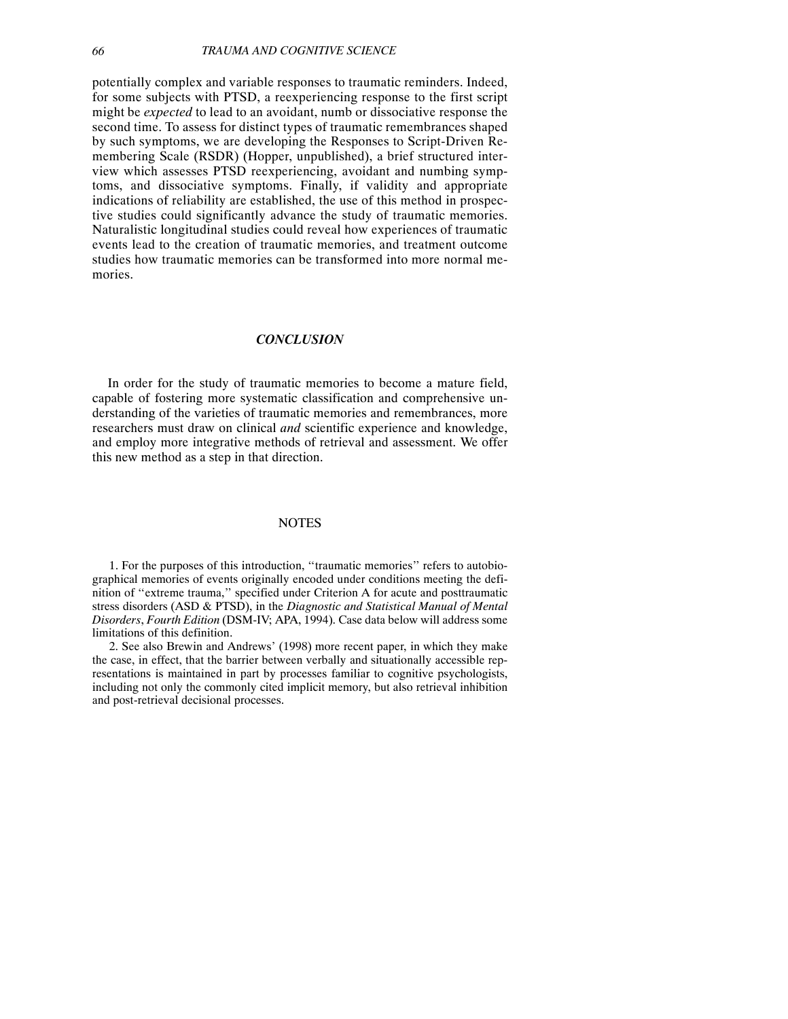potentially complex and variable responses to traumatic reminders. Indeed, for some subjects with PTSD, a reexperiencing response to the first script might be *expected* to lead to an avoidant, numb or dissociative response the second time. To assess for distinct types of traumatic remembrances shaped by such symptoms, we are developing the Responses to Script-Driven Remembering Scale (RSDR) (Hopper, unpublished), a brief structured interview which assesses PTSD reexperiencing, avoidant and numbing symptoms, and dissociative symptoms. Finally, if validity and appropriate indications of reliability are established, the use of this method in prospective studies could significantly advance the study of traumatic memories. Naturalistic longitudinal studies could reveal how experiences of traumatic events lead to the creation of traumatic memories, and treatment outcome studies how traumatic memories can be transformed into more normal memories.

## *CONCLUSION*

In order for the study of traumatic memories to become a mature field, capable of fostering more systematic classification and comprehensive understanding of the varieties of traumatic memories and remembrances, more researchers must draw on clinical *and* scientific experience and knowledge, and employ more integrative methods of retrieval and assessment. We offer this new method as a step in that direction.

## **NOTES**

1. For the purposes of this introduction, ''traumatic memories'' refers to autobiographical memories of events originally encoded under conditions meeting the definition of ''extreme trauma,'' specified under Criterion A for acute and posttraumatic stress disorders (ASD & PTSD), in the *Diagnostic and Statistical Manual of Mental Disorders*, *Fourth Edition* (DSM-IV; APA, 1994). Case data below will address some limitations of this definition.

2. See also Brewin and Andrews' (1998) more recent paper, in which they make the case, in effect, that the barrier between verbally and situationally accessible representations is maintained in part by processes familiar to cognitive psychologists, including not only the commonly cited implicit memory, but also retrieval inhibition and post-retrieval decisional processes.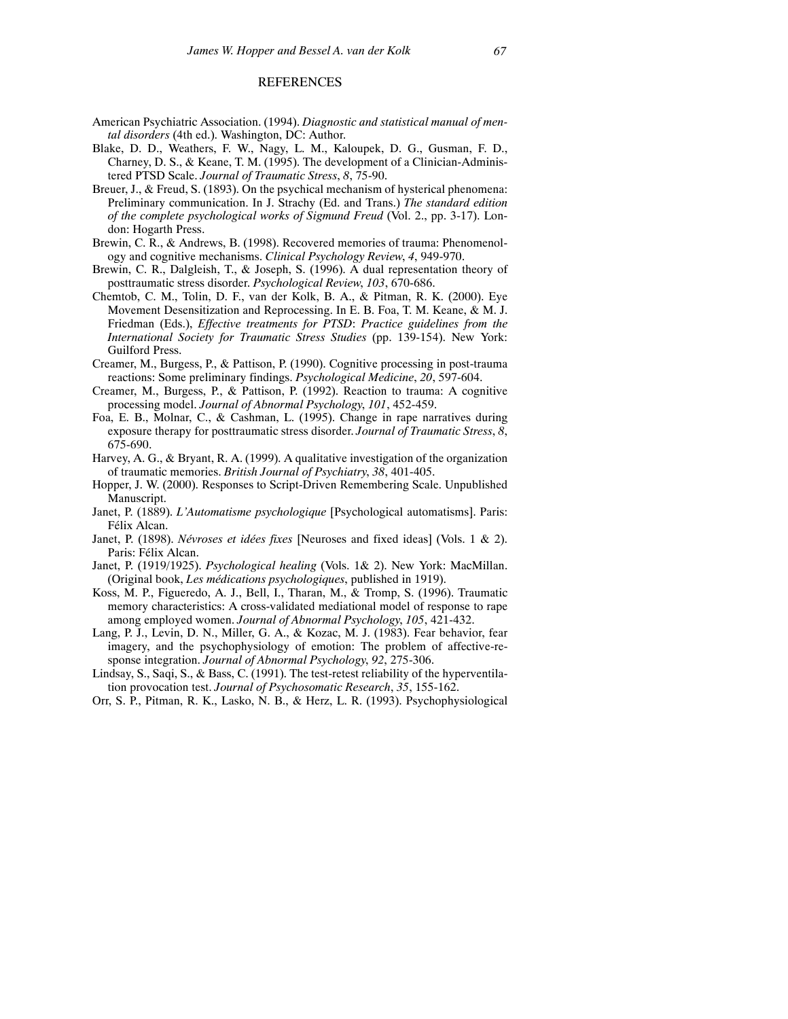## REFERENCES

- American Psychiatric Association. (1994). *Diagnostic and statistical manual of mental disorders* (4th ed.). Washington, DC: Author.
- Blake, D. D., Weathers, F. W., Nagy, L. M., Kaloupek, D. G., Gusman, F. D., Charney, D. S., & Keane, T. M. (1995). The development of a Clinician-Administered PTSD Scale. *Journal of Traumatic Stress*, *8*, 75-90.
- Breuer, J., & Freud, S. (1893). On the psychical mechanism of hysterical phenomena: Preliminary communication. In J. Strachy (Ed. and Trans.) *The standard edition of the complete psychological works of Sigmund Freud* (Vol. 2., pp. 3-17). London: Hogarth Press.
- Brewin, C. R., & Andrews, B. (1998). Recovered memories of trauma: Phenomenology and cognitive mechanisms. *Clinical Psychology Review*, *4*, 949-970.
- Brewin, C. R., Dalgleish, T., & Joseph, S. (1996). A dual representation theory of posttraumatic stress disorder. *Psychological Review*, *103*, 670-686.
- Chemtob, C. M., Tolin, D. F., van der Kolk, B. A., & Pitman, R. K. (2000). Eye Movement Desensitization and Reprocessing. In E. B. Foa, T. M. Keane, & M. J. Friedman (Eds.), *Effective treatments for PTSD*: *Practice guidelines from the International Society for Traumatic Stress Studies* (pp. 139-154). New York: Guilford Press.
- Creamer, M., Burgess, P., & Pattison, P. (1990). Cognitive processing in post-trauma reactions: Some preliminary findings. *Psychological Medicine*, *20*, 597-604.
- Creamer, M., Burgess, P., & Pattison, P. (1992). Reaction to trauma: A cognitive processing model. *Journal of Abnormal Psychology*, *101*, 452-459.
- Foa, E. B., Molnar, C., & Cashman, L. (1995). Change in rape narratives during exposure therapy for posttraumatic stress disorder. *Journal of Traumatic Stress*, *8*, 675-690.
- Harvey, A. G., & Bryant, R. A. (1999). A qualitative investigation of the organization of traumatic memories. *British Journal of Psychiatry*, *38*, 401-405.
- Hopper, J. W. (2000). Responses to Script-Driven Remembering Scale. Unpublished Manuscript.
- Janet, P. (1889). *L'Automatisme psychologique* [Psychological automatisms]. Paris: Félix Alcan.
- Janet, P. (1898). *Névroses et idées fixes* [Neuroses and fixed ideas] (Vols. 1 & 2). Paris: Félix Alcan.
- Janet, P. (1919/1925). *Psychological healing* (Vols. 1& 2). New York: MacMillan. (Original book, *Les médications psychologiques*, published in 1919).
- Koss, M. P., Figueredo, A. J., Bell, I., Tharan, M., & Tromp, S. (1996). Traumatic memory characteristics: A cross-validated mediational model of response to rape among employed women. *Journal of Abnormal Psychology*, *105*, 421-432.
- Lang, P. J., Levin, D. N., Miller, G. A., & Kozac, M. J. (1983). Fear behavior, fear imagery, and the psychophysiology of emotion: The problem of affective-response integration. *Journal of Abnormal Psychology*, *92*, 275-306.
- Lindsay, S., Saqi, S., & Bass, C. (1991). The test-retest reliability of the hyperventilation provocation test. *Journal of Psychosomatic Research*, *35*, 155-162.
- Orr, S. P., Pitman, R. K., Lasko, N. B., & Herz, L. R. (1993). Psychophysiological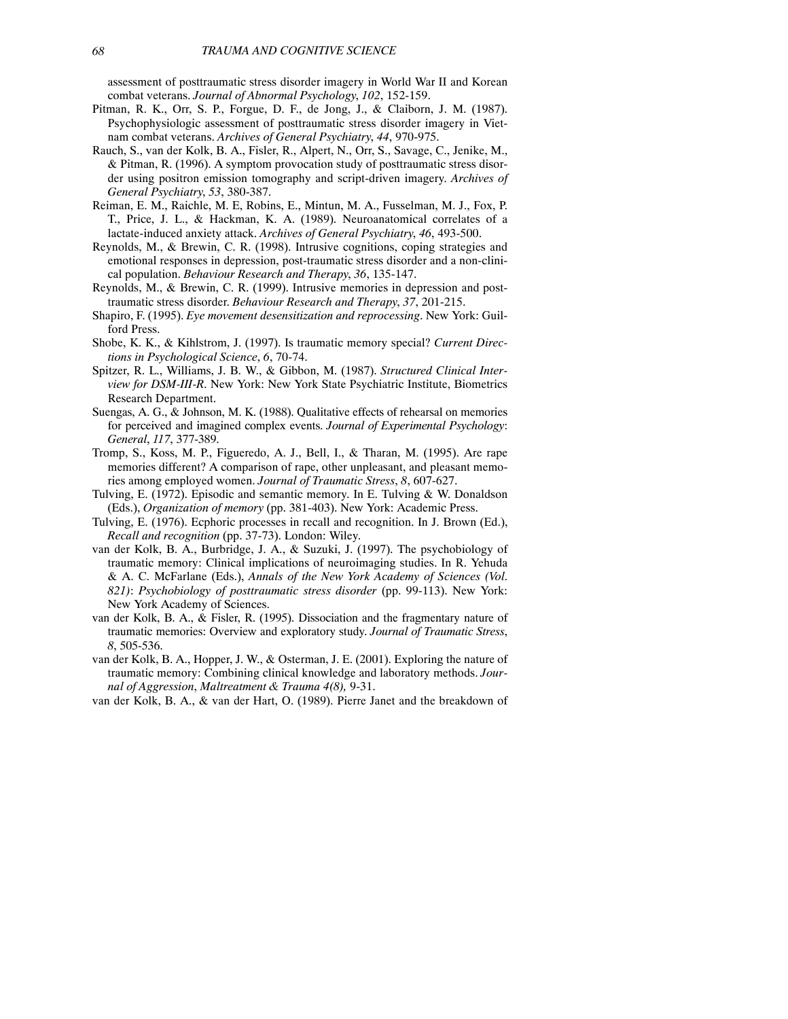assessment of posttraumatic stress disorder imagery in World War II and Korean combat veterans. *Journal of Abnormal Psychology*, *102*, 152-159.

- Pitman, R. K., Orr, S. P., Forgue, D. F., de Jong, J., & Claiborn, J. M. (1987). Psychophysiologic assessment of posttraumatic stress disorder imagery in Vietnam combat veterans. *Archives of General Psychiatry*, *44*, 970-975.
- Rauch, S., van der Kolk, B. A., Fisler, R., Alpert, N., Orr, S., Savage, C., Jenike, M., & Pitman, R. (1996). A symptom provocation study of posttraumatic stress disorder using positron emission tomography and script-driven imagery. *Archives of General Psychiatry*, *53*, 380-387.
- Reiman, E. M., Raichle, M. E, Robins, E., Mintun, M. A., Fusselman, M. J., Fox, P. T., Price, J. L., & Hackman, K. A. (1989). Neuroanatomical correlates of a lactate-induced anxiety attack. *Archives of General Psychiatry*, *46*, 493-500.
- Reynolds, M., & Brewin, C. R. (1998). Intrusive cognitions, coping strategies and emotional responses in depression, post-traumatic stress disorder and a non-clinical population. *Behaviour Research and Therapy*, *36*, 135-147.
- Reynolds, M., & Brewin, C. R. (1999). Intrusive memories in depression and posttraumatic stress disorder. *Behaviour Research and Therapy*, *37*, 201-215.
- Shapiro, F. (1995). *Eye movement desensitization and reprocessing*. New York: Guilford Press.
- Shobe, K. K., & Kihlstrom, J. (1997). Is traumatic memory special? *Current Directions in Psychological Science*, *6*, 70-74.
- Spitzer, R. L., Williams, J. B. W., & Gibbon, M. (1987). *Structured Clinical Interview for DSM-III-R*. New York: New York State Psychiatric Institute, Biometrics Research Department.
- Suengas, A. G., & Johnson, M. K. (1988). Qualitative effects of rehearsal on memories for perceived and imagined complex events. *Journal of Experimental Psychology*: *General*, *117*, 377-389.
- Tromp, S., Koss, M. P., Figueredo, A. J., Bell, I., & Tharan, M. (1995). Are rape memories different? A comparison of rape, other unpleasant, and pleasant memories among employed women. *Journal of Traumatic Stress*, *8*, 607-627.
- Tulving, E. (1972). Episodic and semantic memory. In E. Tulving & W. Donaldson (Eds.), *Organization of memory* (pp. 381-403). New York: Academic Press.
- Tulving, E. (1976). Ecphoric processes in recall and recognition. In J. Brown (Ed.), *Recall and recognition* (pp. 37-73). London: Wiley.
- van der Kolk, B. A., Burbridge, J. A., & Suzuki, J. (1997). The psychobiology of traumatic memory: Clinical implications of neuroimaging studies. In R. Yehuda & A. C. McFarlane (Eds.), *Annals of the New York Academy of Sciences (Vol*. *821)*: *Psychobiology of posttraumatic stress disorder* (pp. 99-113). New York: New York Academy of Sciences.
- van der Kolk, B. A., & Fisler, R. (1995). Dissociation and the fragmentary nature of traumatic memories: Overview and exploratory study. *Journal of Traumatic Stress*, *8*, 505-536.
- van der Kolk, B. A., Hopper, J. W., & Osterman, J. E. (2001). Exploring the nature of traumatic memory: Combining clinical knowledge and laboratory methods. *Journal of Aggression*, *Maltreatment & Trauma 4(8),* 9-31.
- van der Kolk, B. A., & van der Hart, O. (1989). Pierre Janet and the breakdown of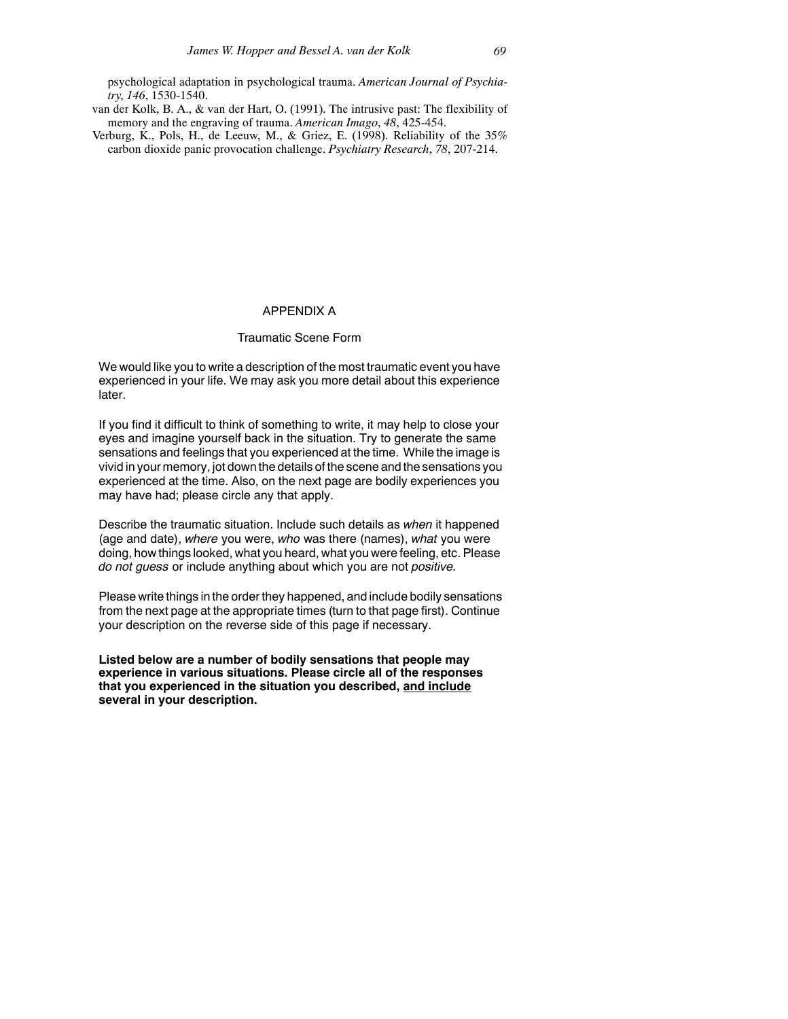psychological adaptation in psychological trauma. *American Journal of Psychiatry*, *146*, 1530-1540.

- van der Kolk, B. A., & van der Hart, O. (1991). The intrusive past: The flexibility of memory and the engraving of trauma. *American Imago*, *48*, 425-454.
- Verburg, K., Pols, H., de Leeuw, M., & Griez, E. (1998). Reliability of the 35% carbon dioxide panic provocation challenge. *Psychiatry Research*, *78*, 207-214.

## APPENDIX A

## Traumatic Scene Form

We would like you to write a description of the most traumatic event you have experienced in your life. We may ask you more detail about this experience later.

If you find it difficult to think of something to write, it may help to close your eyes and imagine yourself back in the situation. Try to generate the same sensations and feelings that you experienced at the time. While the image is vivid in your memory, jot down the details of the scene and the sensations you experienced at the time. Also, on the next page are bodily experiences you may have had; please circle any that apply.

Describe the traumatic situation. Include such details as *when* it happened (age and date), *where* you were, *who* was there (names), *what* you were doing, how things looked, what you heard, what you were feeling, etc. Please *do not guess* or include anything about which you are not *positive.*

Please write things in the orderthey happened, and include bodily sensations from the next page at the appropriate times (turn to that page first). Continue your description on the reverse side of this page if necessary.

**Listed below are a number of bodily sensations that people may experience in various situations. Please circle all of the responses that you experienced in the situation you described, and include several in your description.**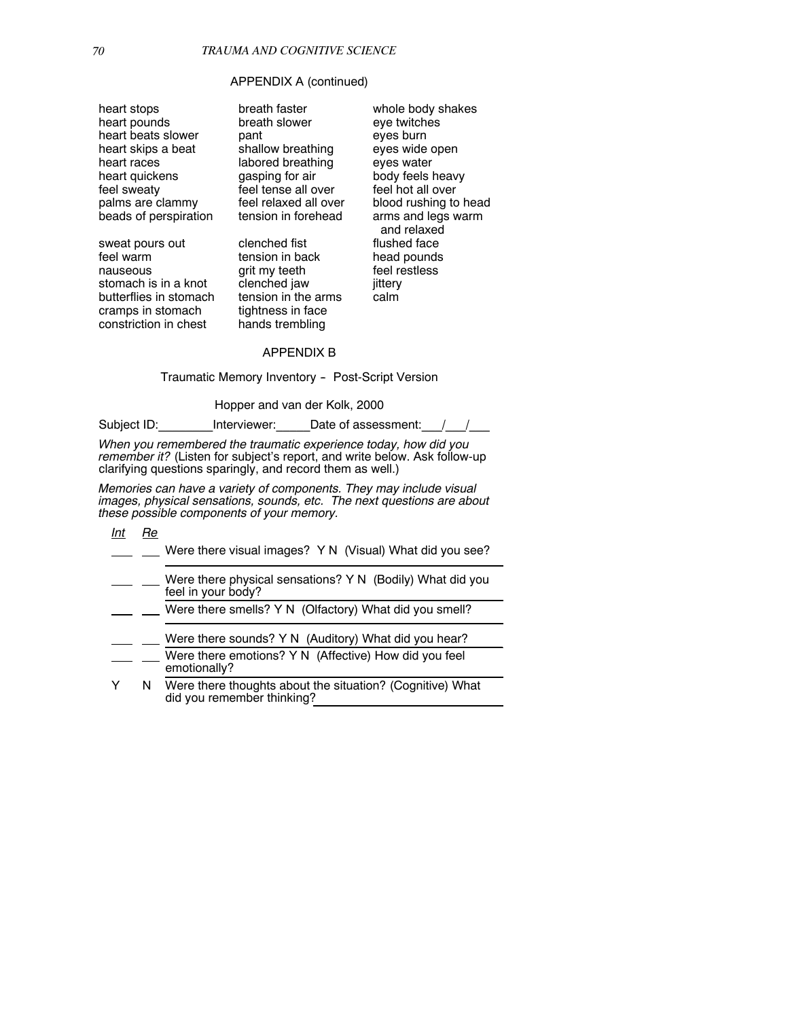## APPENDIX A (continued)

| heart stops            | breath faster         | whole body shakes                 |
|------------------------|-----------------------|-----------------------------------|
| heart pounds           | breath slower         | eye twitches                      |
| heart beats slower     | pant                  | eyes burn                         |
| heart skips a beat     | shallow breathing     | eyes wide open                    |
| heart races            | labored breathing     | eyes water                        |
| heart quickens         | gasping for air       | body feels heavy                  |
| feel sweaty            | feel tense all over   | feel hot all over                 |
| palms are clammy       | feel relaxed all over | blood rushing to head             |
| beads of perspiration  | tension in forehead   | arms and legs warm<br>and relaxed |
| sweat pours out        | clenched fist         | flushed face                      |
| feel warm              | tension in back       | head pounds                       |
| nauseous               | grit my teeth         | feel restless                     |
| stomach is in a knot   | clenched jaw          | jittery                           |
| butterflies in stomach | tension in the arms   | calm                              |
| cramps in stomach      | tightness in face     |                                   |
| constriction in chest  | hands trembling       |                                   |

## APPENDIX B

Traumatic Memory Inventory -- Post-Script Version

Hopper and van der Kolk, 2000

Subject ID: Contract Interviewer: Contract Basessment: Contract Interviewer:

*When you remembered the traumatic experience today, how did you remember it?* (Listen for subject's report, and write below. Ask follow-up clarifying questions sparingly, and record them as well.)

*Memories can have a variety of components. They may include visual images, physical sensations, sounds, etc. The next questions are about these possible components of your memory.*

| Int | Re |                                                                                         |
|-----|----|-----------------------------------------------------------------------------------------|
|     |    | Were there visual images? Y N (Visual) What did you see?                                |
|     |    | Were there physical sensations? Y N (Bodily) What did you<br>feel in your body?         |
|     |    | Were there smells? Y N (Olfactory) What did you smell?                                  |
|     |    | Were there sounds? Y N (Auditory) What did you hear?                                    |
|     |    | Were there emotions? Y N (Affective) How did you feel<br>emotionally?                   |
|     | N. | Were there thoughts about the situation? (Cognitive) What<br>did you remember thinking? |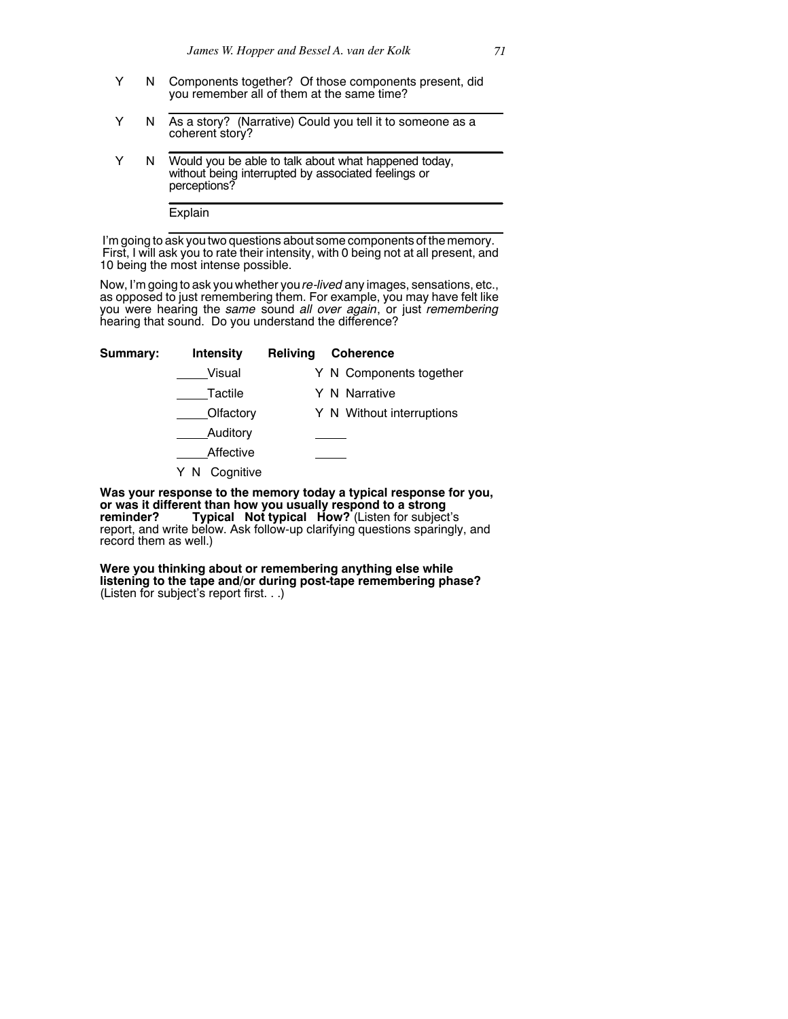- Y N Components together? Of those components present, did you remember all of them at the same time?
- Y N As a story? (Narrative) Could you tell it to someone as a coherent story?
- Y N Would you be able to talk about what happened today, without being interrupted by associated feelings or perceptions?

Explain

I'm going to ask you two questions about some components of the memory. First, I will ask you to rate their intensity, with 0 being not at all present, and 10 being the most intense possible.

Now, I'm going to ask you whether you *re-lived* any images, sensations, etc., as opposed to just remembering them. For example, you may have felt like you were hearing the *same* sound *all over again*, or just *remembering* hearing that sound. Do you understand the difference?

| Summary: | <b>Intensity</b> | <b>Reliving</b> | <b>Coherence</b>          |
|----------|------------------|-----------------|---------------------------|
|          | Visual           |                 | Y N Components together   |
|          | Tactile          |                 | Y N Narrative             |
|          | Olfactory        |                 | Y N Without interruptions |
|          | <b>Auditory</b>  |                 |                           |
|          | Affective        |                 |                           |
|          | Cognitive        |                 |                           |

**Was your response to the memory today a typical response for you, or was it different than how you usually respond to a strong<br><b>reminder?** Typical Not typical How? (Listen for subject **Typical Not typical How?** (Listen for subject's report, and write below. Ask follow-up clarifying questions sparingly, and record them as well.)

**Were you thinking about or remembering anything else while listening to the tape and/or during post-tape remembering phase?** (Listen for subject's report first. . .)